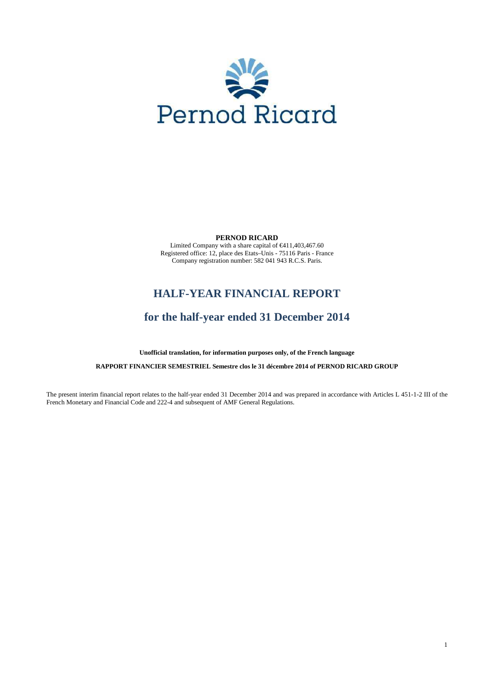

**PERNOD RICARD** 

Limited Company with a share capital of €411,403,467.60 Registered office: 12, place des Etats–Unis - 75116 Paris - France Company registration number: 582 041 943 R.C.S. Paris.

# **HALF-YEAR FINANCIAL REPORT**

# **for the half-year ended 31 December 2014**

**Unofficial translation, for information purposes only, of the French language** 

**RAPPORT FINANCIER SEMESTRIEL Semestre clos le 31 décembre 2014 of PERNOD RICARD GROUP** 

The present interim financial report relates to the half-year ended 31 December 2014 and was prepared in accordance with Articles L 451-1-2 III of the French Monetary and Financial Code and 222-4 and subsequent of AMF General Regulations.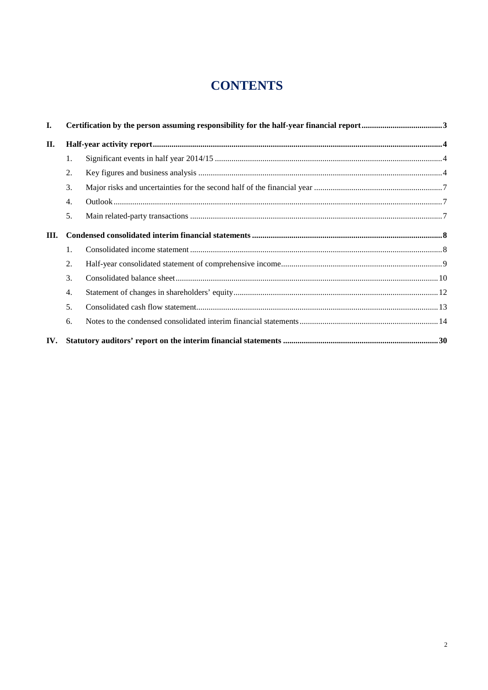# **CONTENTS**

| I.   |    |  |  |  |  |  |
|------|----|--|--|--|--|--|
| П.   |    |  |  |  |  |  |
|      | 1. |  |  |  |  |  |
|      | 2. |  |  |  |  |  |
|      | 3. |  |  |  |  |  |
|      | 4. |  |  |  |  |  |
|      | 5. |  |  |  |  |  |
| III. |    |  |  |  |  |  |
|      | 1. |  |  |  |  |  |
|      | 2. |  |  |  |  |  |
|      | 3. |  |  |  |  |  |
|      | 4. |  |  |  |  |  |
|      | 5. |  |  |  |  |  |
|      | 6. |  |  |  |  |  |
| IV.  |    |  |  |  |  |  |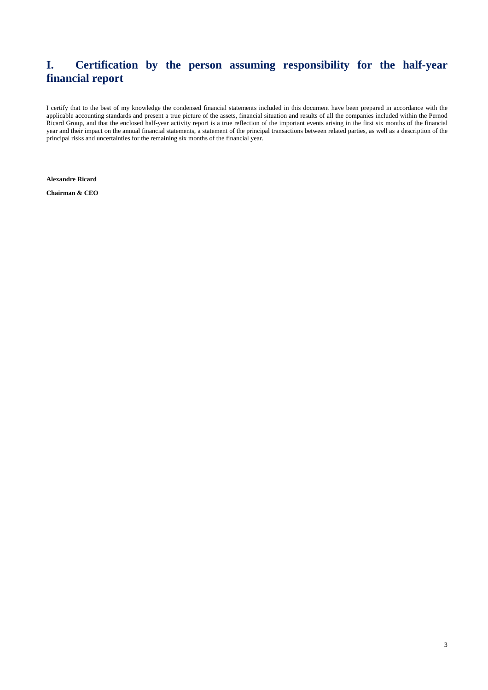# **I. Certification by the person assuming responsibility for the half-year financial report**

I certify that to the best of my knowledge the condensed financial statements included in this document have been prepared in accordance with the applicable accounting standards and present a true picture of the assets, financial situation and results of all the companies included within the Pernod Ricard Group, and that the enclosed half-year activity report is a true reflection of the important events arising in the first six months of the financial year and their impact on the annual financial statements, a statement of the principal transactions between related parties, as well as a description of the principal risks and uncertainties for the remaining six months of the financial year.

**Alexandre Ricard** 

**Chairman & CEO**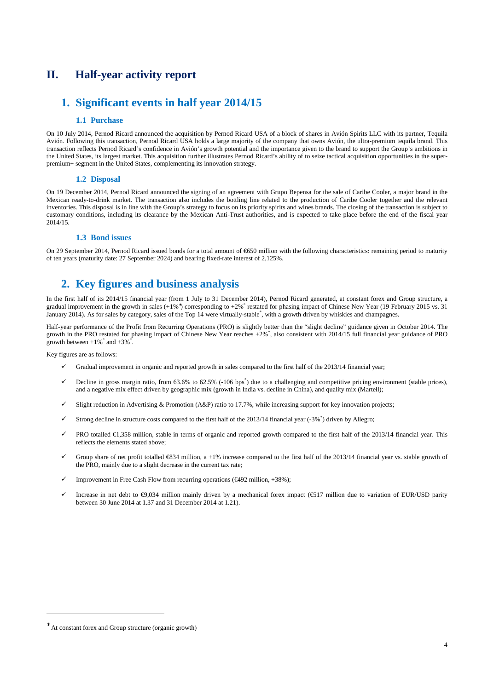## **II. Half-year activity report**

## **1. Significant events in half year 2014/15**

## **1.1 Purchase**

On 10 July 2014, Pernod Ricard announced the acquisition by Pernod Ricard USA of a block of shares in Avión Spirits LLC with its partner, Tequila Avión. Following this transaction, Pernod Ricard USA holds a large majority of the company that owns Avión, the ultra-premium tequila brand. This transaction reflects Pernod Ricard's confidence in Avión's growth potential and the importance given to the brand to support the Group's ambitions in the United States, its largest market. This acquisition further illustrates Pernod Ricard's ability of to seize tactical acquisition opportunities in the superpremium+ segment in the United States, complementing its innovation strategy.

## **1.2 Disposal**

On 19 December 2014, Pernod Ricard announced the signing of an agreement with Grupo Bepensa for the sale of Caribe Cooler, a major brand in the Mexican ready-to-drink market. The transaction also includes the bottling line related to the production of Caribe Cooler together and the relevant inventories. This disposal is in line with the Group's strategy to focus on its priority spirits and wines brands. The closing of the transaction is subject to customary conditions, including its clearance by the Mexican Anti-Trust authorities, and is expected to take place before the end of the fiscal year 2014/15.

## **1.3 Bond issues**

On 29 September 2014, Pernod Ricard issued bonds for a total amount of €650 million with the following characteristics: remaining period to maturity of ten years (maturity date: 27 September 2024) and bearing fixed-rate interest of 2,125%.

# **2. Key figures and business analysis**

In the first half of its 2014/15 financial year (from 1 July to 31 December 2014), Pernod Ricard generated, at constant forex and Group structure, a gradual improvement in the growth in sales (+1%<sup>\*</sup>) corresponding to +2%<sup>\*</sup> restated for phasing impact of Chinese New Year (19 February 2015 vs. 31 January 2014). As for sales by category, sales of the Top 14 were virtually-stable<sup>\*</sup>, with a growth driven by whiskies and champagnes.

Half-year performance of the Profit from Recurring Operations (PRO) is slightly better than the "slight decline" guidance given in October 2014. The growth in the PRO restated for phasing impact of Chinese New Year reaches +2%\* , also consistent with 2014/15 full financial year guidance of PRO growth between  $+1\%$  and  $+3\%$ <sup>\*</sup>.

Key figures are as follows:

- Gradual improvement in organic and reported growth in sales compared to the first half of the 2013/14 financial year;
- $\checkmark$  Decline in gross margin ratio, from 63.6% to 62.5% (-106 bps<sup>\*</sup>) due to a challenging and competitive pricing environment (stable prices), and a negative mix effect driven by geographic mix (growth in India vs. decline in China), and quality mix (Martell);
- Slight reduction in Advertising & Promotion (A&P) ratio to 17.7%, while increasing support for key innovation projects;
- $\checkmark$  Strong decline in structure costs compared to the first half of the 2013/14 financial year (-3% $^*$ ) driven by Allegro;
- PRO totalled €1,358 million, stable in terms of organic and reported growth compared to the first half of the 2013/14 financial year. This reflects the elements stated above;
- Group share of net profit totalled €834 million, a +1% increase compared to the first half of the 2013/14 financial year vs. stable growth of the PRO, mainly due to a slight decrease in the current tax rate;
- Improvement in Free Cash Flow from recurring operations (€492 million, +38%);
- Increase in net debt to €9,034 million mainly driven by a mechanical forex impact (€517 million due to variation of EUR/USD parity between 30 June 2014 at 1.37 and 31 December 2014 at 1.21).

 $\overline{a}$ 

<sup>∗</sup> At constant forex and Group structure (organic growth)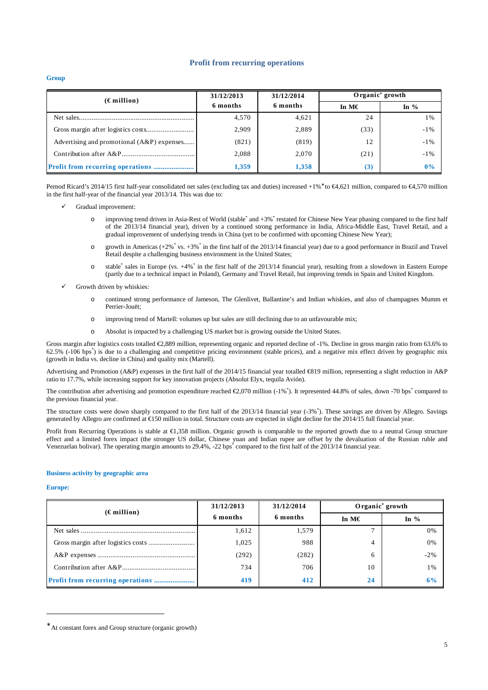## **Profit from recurring operations**

**Group** 

| $(\epsilon$ million)                       | 31/12/2013 | 31/12/2014 | Organic <sup>*</sup> growth |         |  |
|--------------------------------------------|------------|------------|-----------------------------|---------|--|
|                                            | 6 months   | 6 months   | In $M\in$                   | In $\%$ |  |
|                                            | 4,570      | 4,621      | 24                          | $1\%$   |  |
|                                            | 2,909      | 2,889      | (33)                        | $-1\%$  |  |
| Advertising and promotional (A&P) expenses | (821)      | (819)      | 12                          | $-1\%$  |  |
|                                            | 2,088      | 2,070      | (21)                        | $-1\%$  |  |
|                                            | 1,359      | 1,358      | (3)                         | $0\%$   |  |

Pernod Ricard's 2014/15 first half-year consolidated net sales (excluding tax and duties) increased +1%<sup>\*</sup> to €4,621 million, compared to €4,570 million in the first half-year of the financial year 2013/14. This was due to:

- Gradual improvement:
	- o improving trend driven in Asia-Rest of World (stable<sup>\*</sup> and +3%<sup>\*</sup> restated for Chinese New Year phasing compared to the first half of the 2013/14 financial year), driven by a continued strong performance in India, Africa-Middle East, Travel Retail, and a gradual improvement of underlying trends in China (yet to be confirmed with upcoming Chinese New Year);
	- $\circ$  growth in Americas (+2%<sup>\*</sup> vs. +3%<sup>\*</sup> in the first half of the 2013/14 financial year) due to a good performance in Brazil and Travel Retail despite a challenging business environment in the United States;
	- o stable\* sales in Europe (vs. +4%\* in the first half of the 2013/14 financial year), resulting from a slowdown in Eastern Europe (partly due to a technical impact in Poland), Germany and Travel Retail, but improving trends in Spain and United Kingdom.
- Growth driven by whiskies:
	- o continued strong performance of Jameson, The Glenlivet, Ballantine's and Indian whiskies, and also of champagnes Mumm et Perrier-Jouët;
	- o improving trend of Martell: volumes up but sales are still declining due to an unfavourable mix;
	- o Absolut is impacted by a challenging US market but is growing outside the United States.

Gross margin after logistics costs totalled €2,889 million, representing organic and reported decline of -1%. Decline in gross margin ratio from 63.6% to 62.5% (-106 bps\* ) is due to a challenging and competitive pricing environment (stable prices), and a negative mix effect driven by geographic mix (growth in India vs. decline in China) and quality mix (Martell).

Advertising and Promotion (A&P) expenses in the first half of the 2014/15 financial year totalled  $\in$ 819 million, representing a slight reduction in A&P ratio to 17.7%, while increasing support for key innovation projects (Absolut Elyx, tequila Avión).

The contribution after advertising and promotion expenditure reached  $\epsilon$ 2,070 million (-1%). It represented 44.8% of sales, down -70 bps\* compared to the previous financial year.

The structure costs were down sharply compared to the first half of the 2013/14 financial year (-3%\*). These savings are driven by Allegro. Savings generated by Allegro are confirmed at  $\epsilon$ 150 millionin total. Structure costs are expected in slight decline for the 2014/15 full financial year.

Profit from Recurring Operations is stable at €1,358 million. Organic growth is comparable to the reported growth due to a neutral Group structure effect and a limited forex impact (the stronger US dollar, Chinese yuan and Indian rupee are offset by the devaluation of the Russian ruble and Venezuelan bolivar). The operating margin amounts to 29.4%, -22 bps<sup>\*</sup> compared to the first half of the 2013/14 financial year.

### **Business activity by geographic area**

#### **Europe:**

 $\overline{a}$ 

| $(\epsilon$ million)                     | 31/12/2013 | 31/12/2014 | Organic <sup>*</sup> growth |        |  |
|------------------------------------------|------------|------------|-----------------------------|--------|--|
|                                          | 6 months   | 6 months   | In $M\in$                   | In $%$ |  |
|                                          | 1,612      | 1,579      |                             | 0%     |  |
|                                          | 1.025      | 988        |                             | 0%     |  |
|                                          | (292)      | (282)      | 6                           | $-2\%$ |  |
|                                          | 734        | 706        | 10                          | $1\%$  |  |
| <b>Profit from recurring operations </b> | 419        | 412        | 24                          | 6%     |  |

<sup>∗</sup> At constant forex and Group structure (organic growth)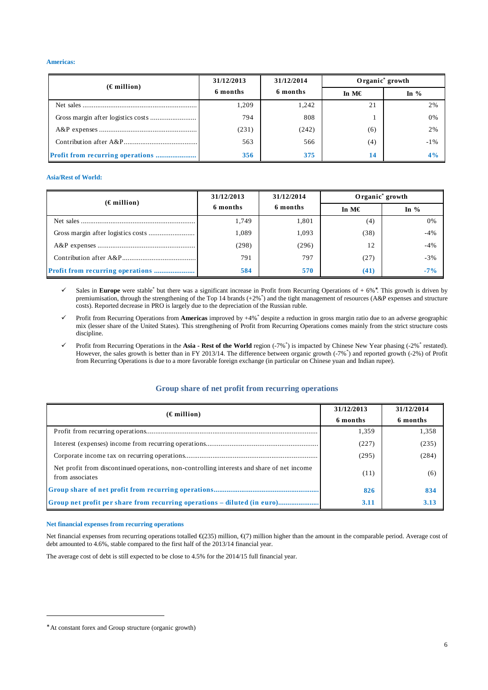## **Americas:**

| $(\epsilon$ million)                     | 31/12/2013 | 31/12/2014 | Organic <sup>*</sup> growth |        |  |
|------------------------------------------|------------|------------|-----------------------------|--------|--|
|                                          | 6 months   | 6 months   | In M $\epsilon$             | In $%$ |  |
|                                          | 1,209      | 1,242      | 21                          | 2%     |  |
|                                          | 794        | 808        |                             | 0%     |  |
|                                          | (231)      | (242)      | (6)                         | 2%     |  |
|                                          | 563        | 566        | (4)                         | $-1\%$ |  |
| <b>Profit from recurring operations </b> | 356        | 375        | 14                          | 4%     |  |

## **Asia/Rest of World:**

| $(\epsilon$ million) | 31/12/2013 | 31/12/2014 | Organic <sup>*</sup> growth |        |  |
|----------------------|------------|------------|-----------------------------|--------|--|
|                      | 6 months   | 6 months   | In M $\epsilon$             | In $%$ |  |
|                      | 1,749      | 1,801      | (4)                         | 0%     |  |
|                      | 1,089      | 1,093      | (38)                        | $-4%$  |  |
|                      | (298)      | (296)      | 12                          | $-4%$  |  |
|                      | 791        | 797        | (27)                        | $-3%$  |  |
|                      | 584        | 570        | (41)                        | $-7\%$ |  |

 Sales in **Europe** were stable\* but there was a significant increase in Profit from Recurring Operations of + 6%<sup>∗</sup> . This growth is driven by premiumisation, through the strengthening of the Top 14 brands (+2%\*) and the tight management of resources (A&P expenses and structure costs). Reported decrease in PRO is largely due to the depreciation of the Russian ruble.

 Profit from Recurring Operations from **Americas** improved by +4%\* despite a reduction in gross margin ratio due to an adverse geographic mix (lesser share of the United States). This strengthening of Profit from Recurring Operations comes mainly from the strict structure costs discipline.

 Profit from Recurring Operations in the **Asia - Rest of the World** region (-7%\* ) is impacted by Chinese New Year phasing (-2%\* restated). However, the sales growth is better than in FY 2013/14. The difference between organic growth (-7%\* ) and reported growth (-2%) of Profit from Recurring Operations is due to a more favorable foreign exchange (in particular on Chinese yuan and Indian rupee).

## **Group share of net profit from recurring operations**

| $(\epsilon$ million)                                                                                          | 31/12/2013 | 31/12/2014 |
|---------------------------------------------------------------------------------------------------------------|------------|------------|
|                                                                                                               | 6 months   | 6 months   |
|                                                                                                               | 1,359      | 1,358      |
|                                                                                                               | (227)      | (235)      |
|                                                                                                               | (295)      | (284)      |
| Net profit from discontinued operations, non-controlling interests and share of net income<br>from associates | (11)       | (6)        |
|                                                                                                               | 826        | 834        |
| Group net profit per share from recurring operations – diluted (in euro)                                      | 3.11       | 3.13       |

## **Net financial expenses from recurring operations**

Net financial expenses from recurring operations totalled  $\epsilon$ (235) million,  $\epsilon$ (7) million higher than the mount in the comparable period. Average cost of debt amounted to 4.6%, stable compared to the first half of the 2013/14 financial year.

The average cost of debt is still expected to be close to 4.5% for the 2014/15 full financial year.

 $\overline{a}$ 

<sup>∗</sup> At constant forex and Group structure (organic growth)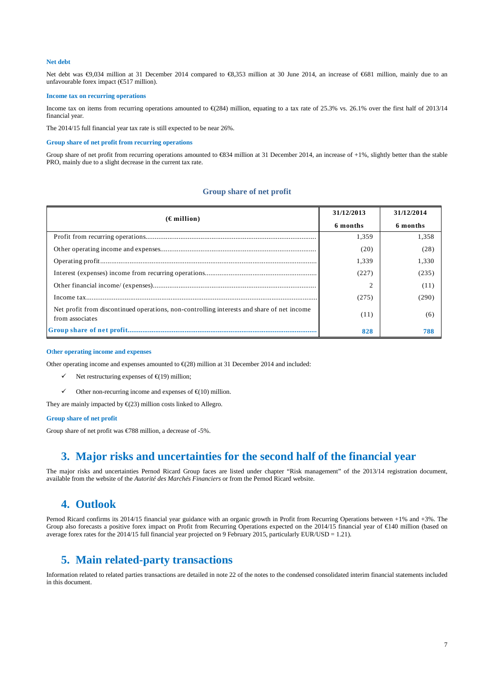### **Net debt**

Net debt was €9,034 million at 31 December 2014 compared to €8,353 million at 30 June 2014, an increase of €681 million, mainly due to an unfavourable forex impact (€517 million).

## **Income tax on recurring operations**

Income tax on items from recurring operations amounted to  $\epsilon$ (284) million, equating to a tax rate of 253% vs. 26.1% over the first half of 2013/14 financial year.

The 2014/15 full financial year tax rate is still expected to be near 26%.

#### **Group share of net profit from recurring operations**

Group share of net profit from recurring operations amounted to €834 million at 31 December 2014, an increase of +1%, slightly better than the stable PRO, mainly due to a slight decrease in the current tax rate.

## **Group share of net profit**

| $(\epsilon$ million)                                                                                          | 31/12/2013 | 31/12/2014 |
|---------------------------------------------------------------------------------------------------------------|------------|------------|
|                                                                                                               | 6 months   | 6 months   |
|                                                                                                               | 1,359      | 1,358      |
|                                                                                                               | (20)       | (28)       |
|                                                                                                               | 1,339      | 1,330      |
|                                                                                                               | (227)      | (235)      |
|                                                                                                               | 2          | (11)       |
|                                                                                                               | (275)      | (290)      |
| Net profit from discontinued operations, non-controlling interests and share of net income<br>from associates | (11)       | (6)        |
|                                                                                                               | 828        | 788        |

## **O**t**her operating income and expenses**

Other operating income and expenses amounted to  $\epsilon(x)$  million at 31 December 2014 and included:

- $\checkmark$  Net restructuring expenses of  $\hat{\epsilon}$ (19) million;
- $\checkmark$  Other non-recurring income and expenses of  $\hat{\epsilon}$ (10) million.

They are mainly impacted by  $\epsilon$ (23) million costs linked to Allegro.

## **Group share of net profit**

Group share of net profit was €788 million, a decrease of -5%.

## **3. Major risks and uncertainties for the second half of the financial year**

The major risks and uncertainties Pernod Ricard Group faces are listed under chapter "Risk management" of the 2013/14 registration document, available from the website of the *Autorité des Marchés Financiers* or from the Pernod Ricard website.

## **4. Outlook**

Pernod Ricard confirms its 2014/15 financial year guidance with an organic growth in Profit from Recurring Operations between +1% and +3%. The Group also forecasts a positive forex impact on Profit from Recurring Operations expected on the 2014/15 financial year of  $\epsilon$ 140 million (based on average forex rates for the 2014/15 full financial year projected on 9 February 2015, particularly EUR/USD = 1.21).

# **5. Main related-party transactions**

Information related to related parties transactions are detailed in note 22 of the notes to the condensed consolidated interim financial statements included in this document.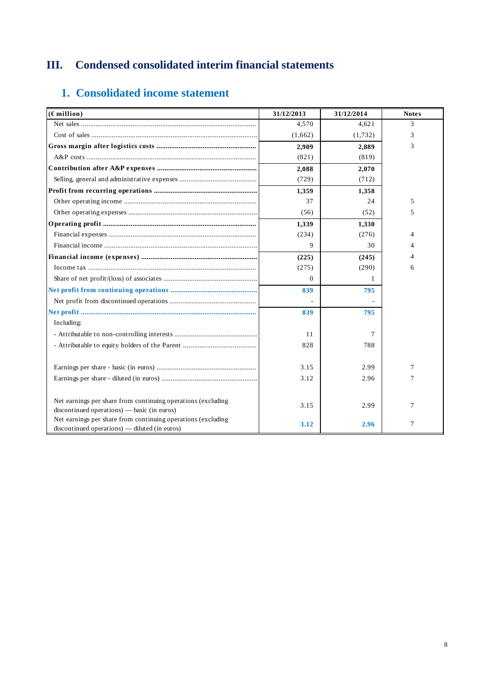# **III. Condensed consolidated interim financial statements**

# **1. Consolidated income statement**

| $(E$ million)                                                | 31/12/2013 | 31/12/2014 | <b>Notes</b> |
|--------------------------------------------------------------|------------|------------|--------------|
|                                                              | 4,570      | 4,621      | 3            |
|                                                              | (1,662)    | (1,732)    | 3            |
|                                                              | 2,909      | 2,889      | 3            |
|                                                              | (821)      | (819)      |              |
|                                                              | 2,088      | 2,070      |              |
|                                                              | (729)      | (712)      |              |
|                                                              | 1,359      | 1,358      |              |
|                                                              | 37         | 24         | 5            |
|                                                              | (56)       | (52)       | 5            |
|                                                              | 1,339      | 1,330      |              |
|                                                              | (234)      | (276)      | 4            |
|                                                              | 9          | 30         | 4            |
|                                                              | (225)      | (245)      | 4            |
|                                                              | (275)      | (290)      | 6            |
|                                                              | $\Omega$   | 1          |              |
|                                                              | 839        | 795        |              |
|                                                              |            |            |              |
|                                                              | 839        | 795        |              |
| Including:                                                   |            |            |              |
|                                                              | 11         | 7          |              |
|                                                              | 828        | 788        |              |
|                                                              |            |            |              |
|                                                              | 3.15       | 2.99       | 7            |
|                                                              | 3.12       | 2.96       | 7            |
|                                                              |            |            |              |
| Net earnings per share from continuing operations (excluding |            |            |              |
| $discontinued\ operations)$ — basic (in euros)               | 3.15       | 2.99       | 7            |
| Net earnings per share from continuing operations (excluding | 3.12       | 2.96       | 7            |
| discontinued operations) — diluted (in euros)                |            |            |              |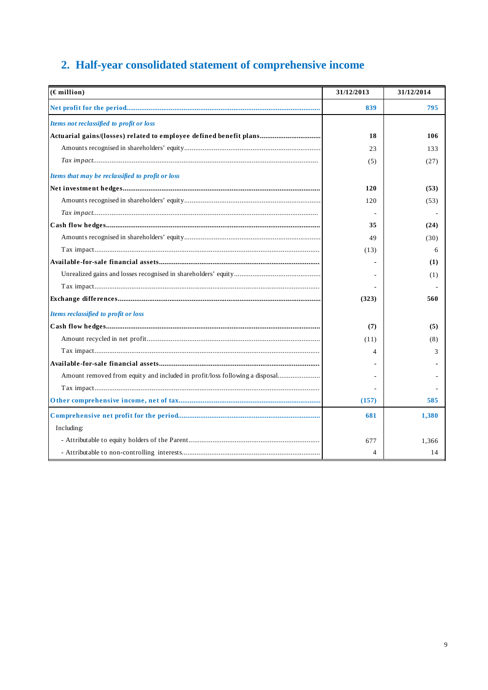# 2. Half-year consolidated statement of comprehensive income

| $(E$ million)                                                               | 31/12/2013 | 31/12/2014 |
|-----------------------------------------------------------------------------|------------|------------|
|                                                                             | 839        | 795        |
| Items not reclassified to profit or loss                                    |            |            |
| Actuarial gains/(losses) related to employee defined benefit plans          | 18         | 106        |
|                                                                             | 23         | 133        |
|                                                                             | (5)        | (27)       |
| Items that may be reclassified to profit or loss                            |            |            |
|                                                                             | 120        | (53)       |
|                                                                             | 120        | (53)       |
|                                                                             |            |            |
|                                                                             | 35         | (24)       |
|                                                                             | 49         | (30)       |
|                                                                             | (13)       | 6          |
|                                                                             |            | (1)        |
|                                                                             |            | (1)        |
|                                                                             |            |            |
|                                                                             | (323)      | 560        |
| Items reclassified to profit or loss                                        |            |            |
|                                                                             | (7)        | (5)        |
|                                                                             | (11)       | (8)        |
|                                                                             | 4          | 3          |
|                                                                             |            |            |
| Amount removed from equity and included in profit/loss following a disposal |            |            |
|                                                                             |            |            |
|                                                                             | (157)      | 585        |
|                                                                             | 681        | 1,380      |
| Including:                                                                  |            |            |
|                                                                             | 677        | 1,366      |
|                                                                             | 4          | 14         |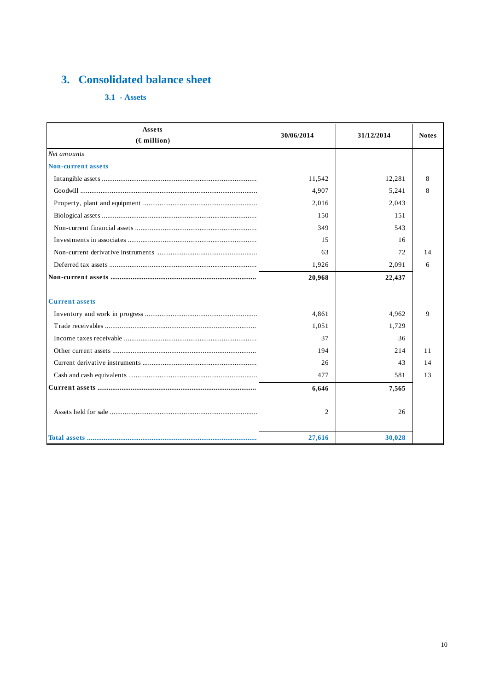# 3. Consolidated balance sheet

 $3.1 - \text{Assets}$ 

| <b>Assets</b><br>$(E$ million) | 30/06/2014 | 31/12/2014 | <b>Notes</b> |
|--------------------------------|------------|------------|--------------|
| Net amounts                    |            |            |              |
| <b>Non-current assets</b>      |            |            |              |
|                                | 11,542     | 12,281     | 8            |
|                                | 4,907      | 5,241      | 8            |
|                                | 2,016      | 2,043      |              |
|                                | 150        | 151        |              |
|                                | 349        | 543        |              |
|                                | 15         | 16         |              |
|                                | 63         | 72         | 14           |
|                                | 1,926      | 2,091      | 6            |
|                                | 20,968     | 22,437     |              |
| <b>Current assets</b>          |            |            |              |
|                                | 4,861      | 4,962      | $\mathbf Q$  |
|                                | 1,051      | 1,729      |              |
|                                | 37         | 36         |              |
|                                | 194        | 214        | 11           |
|                                | 26         | 43         | 14           |
|                                | 477        | 581        | 13           |
|                                | 6,646      | 7,565      |              |
|                                | 2          | 26         |              |
|                                | 27,616     | 30,028     |              |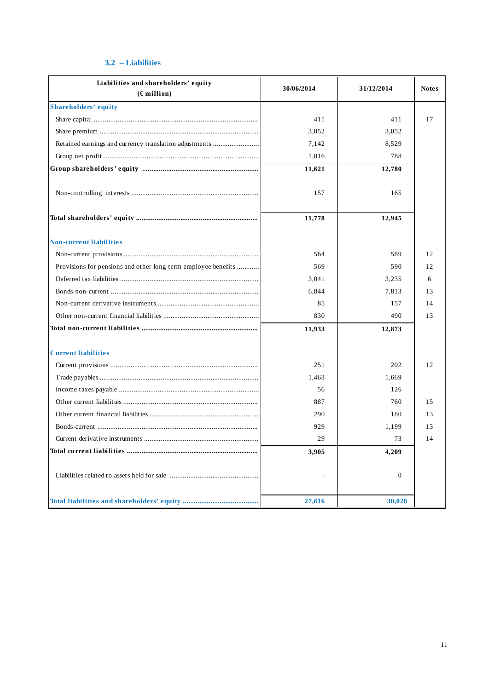## **3.2 – Liabilities**

| Liabilities and shareholders' equity<br>$(E$ million)         | 30/06/2014 | 31/12/2014       | <b>Notes</b> |
|---------------------------------------------------------------|------------|------------------|--------------|
| <b>Shareholders' equity</b>                                   |            |                  |              |
|                                                               | 411        | 411              | 17           |
|                                                               | 3,052      | 3,052            |              |
| Retained earnings and currency translation adjustments        | 7,142      | 8,529            |              |
|                                                               | 1,016      | 788              |              |
|                                                               | 11,621     | 12,780           |              |
|                                                               | 157        | 165              |              |
|                                                               | 11,778     | 12,945           |              |
| <b>Non-current liabilities</b>                                |            |                  |              |
|                                                               | 564        | 589              | 12           |
| Provisions for pensions and other long-term employee benefits | 569        | 590              | 12           |
|                                                               | 3,041      | 3,235            | 6            |
|                                                               | 6.844      | 7,813            | 13           |
|                                                               | 85         | 157              | 14           |
|                                                               | 830        | 490              | 13           |
|                                                               | 11,933     | 12,873           |              |
| <b>Current liabilities</b>                                    |            |                  |              |
|                                                               | 251        | 202              | 12           |
|                                                               | 1,463      | 1,669            |              |
|                                                               | 56         | 126              |              |
|                                                               | 887        | 760              | 1.5          |
|                                                               | 290        | 180              | 13           |
|                                                               | 929        | 1,199            | 13           |
|                                                               | 29         | 73               | 14           |
|                                                               | 3,905      | 4,209            |              |
|                                                               |            | $\boldsymbol{0}$ |              |
|                                                               | 27,616     | 30,028           |              |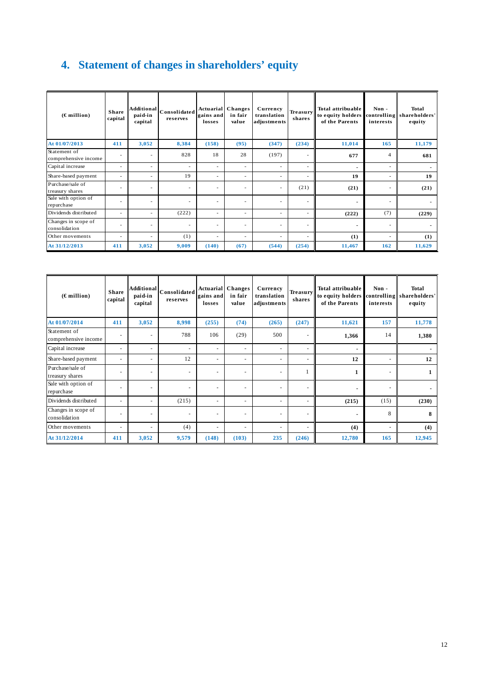# **4. Statement of changes in shareholders' equity**

| $(E$ million)                        | <b>Share</b><br>capital  | <b>Additional</b><br>paid-in<br>capital | Consolidated<br>reserves | gains and<br>losses      | Actuarial Changes<br>in fair<br>value | Currency<br>translation<br>adjustments | <b>Treasury</b><br>shares | <b>Total attribuable</b><br>to equity holders<br>of the Parents | Non-<br>interests        | <b>Total</b><br>controlling shareholders'<br>equity |
|--------------------------------------|--------------------------|-----------------------------------------|--------------------------|--------------------------|---------------------------------------|----------------------------------------|---------------------------|-----------------------------------------------------------------|--------------------------|-----------------------------------------------------|
| At 01/07/2013                        | 411                      | 3,052                                   | 8,384                    | (158)                    | (95)                                  | (347)                                  | (234)                     | 11,014                                                          | 165                      | 11,179                                              |
| Statement of<br>comprehensive income | ٠                        | ٠                                       | 828                      | 18                       | 28                                    | (197)                                  | $\overline{\phantom{a}}$  | 677                                                             | $\overline{4}$           | 681                                                 |
| Capital increase                     | -                        | $\sim$                                  | $\overline{\phantom{a}}$ | $\overline{\phantom{a}}$ | $\overline{\phantom{a}}$              | $\overline{\phantom{a}}$               | $\overline{\phantom{a}}$  | ٠                                                               | $\overline{\phantom{a}}$ |                                                     |
| Share-based payment                  | -                        | $\sim$                                  | 19                       | $\overline{\phantom{a}}$ | $\sim$                                | $\overline{\phantom{a}}$               | $\sim$                    | 19                                                              | $\overline{\phantom{a}}$ | 19                                                  |
| Purchase/sale of<br>treasury shares  | -                        | ٠                                       | $\overline{\phantom{a}}$ | $\overline{\phantom{a}}$ | $\overline{\phantom{a}}$              | $\overline{\phantom{a}}$               | (21)                      | (21)                                                            | $\overline{\phantom{a}}$ | (21)                                                |
| Sale with option of<br>repurchase    | -                        | $\sim$                                  | $\overline{\phantom{a}}$ | $\overline{\phantom{a}}$ | $\overline{\phantom{a}}$              | $\overline{\phantom{a}}$               | $\overline{\phantom{a}}$  | $\blacksquare$                                                  | $\overline{\phantom{a}}$ |                                                     |
| Dividends distributed                | $\overline{\phantom{a}}$ | ٠                                       | (222)                    | $\sim$                   | $\overline{\phantom{a}}$              | $\overline{\phantom{a}}$               | $\overline{\phantom{a}}$  | (222)                                                           | (7)                      | (229)                                               |
| Changes in scope of<br>consolidation | $\overline{\phantom{a}}$ | $\sim$                                  | $\overline{\phantom{a}}$ | $\overline{\phantom{a}}$ | $\overline{\phantom{a}}$              | $\overline{\phantom{a}}$               | $\overline{\phantom{a}}$  | $\blacksquare$                                                  | $\overline{\phantom{a}}$ |                                                     |
| Other movements                      | $\overline{\phantom{a}}$ | $\overline{\phantom{a}}$                | (1)                      | $\overline{\phantom{a}}$ | $\overline{\phantom{a}}$              | $\overline{\phantom{a}}$               | $\overline{\phantom{a}}$  | (1)                                                             | $\overline{\phantom{a}}$ | (1)                                                 |
| At 31/12/2013                        | 411                      | 3,052                                   | 9,009                    | (140)                    | (67)                                  | (544)                                  | (254)                     | 11,467                                                          | 162                      | 11,629                                              |

| $(\epsilon$ million)                 | <b>Share</b><br>capital  | paid-in<br>capital | Additional Consolidated  <br>reserves | <b>Actuarial</b> Changes<br>gains and<br>losses | in fair<br>value         | Currency<br>translation<br>adjustments | <b>Treasury</b><br>shares | <b>Total attribuable</b><br>to equity holders<br>of the Parents | Non-<br>controlling<br>interests | Total<br>shareholders'<br>equity |
|--------------------------------------|--------------------------|--------------------|---------------------------------------|-------------------------------------------------|--------------------------|----------------------------------------|---------------------------|-----------------------------------------------------------------|----------------------------------|----------------------------------|
| At 01/07/2014                        | 411                      | 3,052              | 8,998                                 | (255)                                           | (74)                     | (265)                                  | (247)                     | 11,621                                                          | 157                              | 11,778                           |
| Statement of<br>comprehensive income | $\overline{\phantom{a}}$ | ÷                  | 788                                   | 106                                             | (29)                     | 500                                    | ٠                         | 1,366                                                           | 14                               | 1,380                            |
| Capital increase                     | $\overline{\phantom{a}}$ | ٠                  | $\overline{\phantom{a}}$              | $\overline{\phantom{a}}$                        | $\overline{\phantom{a}}$ |                                        |                           | ۰                                                               |                                  |                                  |
| Share-based payment                  | $\overline{\phantom{a}}$ | ٠                  | 12                                    | ÷                                               | $\overline{\phantom{a}}$ |                                        | ÷                         | 12                                                              | $\sim$                           | 12                               |
| Purchase/sale of<br>treasury shares  | ۰                        | ٠                  | ٠                                     | $\overline{\phantom{a}}$                        |                          |                                        |                           |                                                                 |                                  |                                  |
| Sale with option of<br>repurchase    |                          | ÷                  | ٠                                     | ٠                                               | $\sim$                   |                                        | ٠                         | ٠                                                               |                                  |                                  |
| Dividends distributed                | ٠                        | ٠                  | (215)                                 | $\overline{\phantom{a}}$                        | $\overline{\phantom{a}}$ |                                        | ٠                         | (215)                                                           | (15)                             | (230)                            |
| Changes in scope of<br>consolidation | $\overline{\phantom{a}}$ | ٠                  | $\sim$                                | $\overline{\phantom{a}}$                        | $\sim$                   | $\overline{\phantom{a}}$               | ٠                         | ۰                                                               | 8                                | 8                                |
| Other movements                      | ٠                        | ٠                  | (4)                                   | $\overline{\phantom{a}}$                        | $\overline{\phantom{a}}$ |                                        | ۰                         | (4)                                                             | $\overline{\phantom{a}}$         | (4)                              |
| At 31/12/2014                        | 411                      | 3,052              | 9,579                                 | (148)                                           | (103)                    | 235                                    | (246)                     | 12,780                                                          | 165                              | 12,945                           |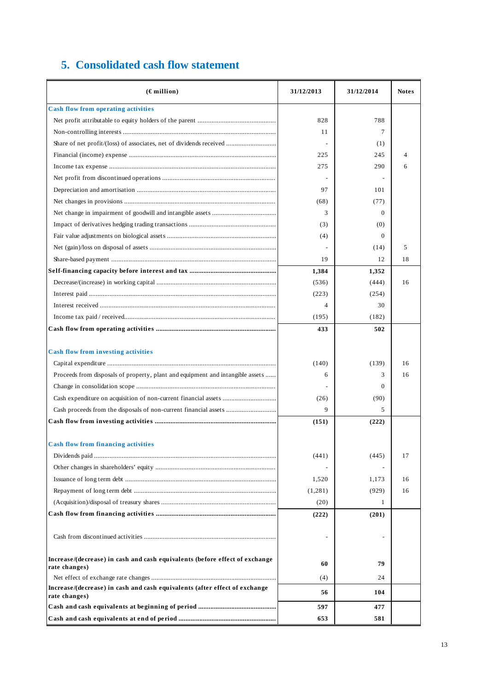|  | 5. Consolidated cash flow statement |  |  |  |  |
|--|-------------------------------------|--|--|--|--|
|--|-------------------------------------|--|--|--|--|

| $(\epsilon$ million)                                                                         | 31/12/2013 | 31/12/2014   | <b>Notes</b> |
|----------------------------------------------------------------------------------------------|------------|--------------|--------------|
| <b>Cash flow from operating activities</b>                                                   |            |              |              |
|                                                                                              | 828        | 788          |              |
|                                                                                              | 11         | 7            |              |
| Share of net profit/(loss) of associates, net of dividends received                          |            | (1)          |              |
|                                                                                              | 225        | 245          | 4            |
|                                                                                              | 275        | 290          | 6            |
|                                                                                              |            |              |              |
|                                                                                              | 97         | 101          |              |
|                                                                                              | (68)       | (77)         |              |
|                                                                                              | 3          | $\Omega$     |              |
|                                                                                              | (3)        | (0)          |              |
|                                                                                              | (4)        | $\Omega$     |              |
|                                                                                              |            | (14)         | 5            |
|                                                                                              | 19         | 12           | 18           |
|                                                                                              | 1,384      | 1,352        |              |
|                                                                                              | (536)      | (444)        | 16           |
|                                                                                              | (223)      | (254)        |              |
|                                                                                              | 4          | 30           |              |
|                                                                                              | (195)      | (182)        |              |
|                                                                                              | 433        | 502          |              |
|                                                                                              |            |              |              |
| <b>Cash flow from investing activities</b>                                                   |            |              |              |
|                                                                                              | (140)      | (139)        | 16           |
| Proceeds from disposals of property, plant and equipment and intangible assets               | 6          | 3            | 16           |
|                                                                                              |            | $\Omega$     |              |
|                                                                                              | (26)       | (90)         |              |
|                                                                                              | 9          | 5            |              |
|                                                                                              | (151)      | (222)        |              |
|                                                                                              |            |              |              |
| <b>Cash flow from financing activities</b>                                                   |            |              |              |
|                                                                                              | (441)      | (445)        | 17           |
|                                                                                              |            |              |              |
|                                                                                              | 1,520      | 1,173        | 16           |
|                                                                                              | (1,281)    | (929)        | 16           |
|                                                                                              | (20)       | $\mathbf{1}$ |              |
|                                                                                              | (222)      | (201)        |              |
|                                                                                              |            |              |              |
|                                                                                              |            |              |              |
|                                                                                              |            |              |              |
| Increase/(decrease) in cash and cash equivalents (before effect of exchange<br>rate changes) | 60         | 79           |              |
|                                                                                              | (4)        | 24           |              |
| Increase/(decrease) in cash and cash equivalents (after effect of exchange<br>rate changes)  | 56         | 104          |              |
|                                                                                              | 597        | 477          |              |
|                                                                                              | 653        | 581          |              |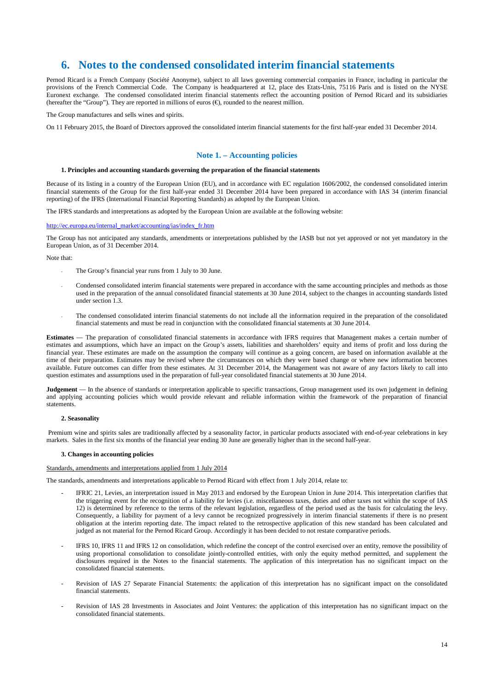## **6. Notes to the condensed consolidated interim financial statements**

Pernod Ricard is a French Company (Société Anonyme), subject to all laws governing commercial companies in France, including in particular the provisions of the French Commercial Code. The Company is headquartered at 12, place des Etats-Unis, 75116 Paris and is listed on the NYSE Euronext exchange. The condensed consolidated interim financial statements reflect the accounting position of Pernod Ricard and its subsidiaries (hereafter the "Group"). They are reported in millions of euros  $(\epsilon)$ , rounded to the nearest million.

The Group manufactures and sells wines and spirits.

On 11 February 2015, the Board of Directors approved the consolidated interim financial statements for the first half-year ended 31 December 2014.

## **Note 1. – Accounting policies**

#### **1. Principles and accounting standards governing the preparation of the financial statements**

Because of its listing in a country of the European Union (EU), and in accordance with EC regulation 1606/2002, the condensed consolidated interim financial statements of the Group for the first half-year ended 31 December 2014 have been prepared in accordance with IAS 34 (interim financial reporting) of the IFRS (International Financial Reporting Standards) as adopted by the European Union.

The IFRS standards and interpretations as adopted by the European Union are available at the following website:

#### http://ec.europa.eu/internal\_market/accounting/ias/index\_fr.htm

The Group has not anticipated any standards, amendments or interpretations published by the IASB but not yet approved or not yet mandatory in the European Union, as of 31 December 2014.

Note that:

- The Group's financial year runs from 1 July to 30 June.
- Condensed consolidated interim financial statements were prepared in accordance with the same accounting principles and methods as those used in the preparation of the annual consolidated financial statements at 30 June 2014, subject to the changes in accounting standards listed under section 1.3.
- The condensed consolidated interim financial statements do not include all the information required in the preparation of the consolidated financial statements and must be read in conjunction with the consolidated financial statements at 30 June 2014.

**Estimates** — The preparation of consolidated financial statements in accordance with IFRS requires that Management makes a certain number of estimates and assumptions, which have an impact on the Group's assets, liabilities and shareholders' equity and items of profit and loss during the financial year. These estimates are made on the assumption the company will continue as a going concern, are based on information available at the time of their preparation. Estimates may be revised where the circumstances on which they were based change or where new information becomes available. Future outcomes can differ from these estimates. At 31 December 2014, the Management was not aware of any factors likely to call into question estimates and assumptions used in the preparation of full-year consolidated financial statements at 30 June 2014.

**Judgement** — In the absence of standards or interpretation applicable to specific transactions, Group management used its own judgement in defining and applying accounting policies which would provide relevant and reliable information within the framework of the preparation of financial statements.

## **2. Seasonality**

 Premium wine and spirits sales are traditionally affected by a seasonality factor, in particular products associated with end-of-year celebrations in key markets. Sales in the first six months of the financial year ending 30 June are generally higher than in the second half-year.

#### **3. Changes in accounting policies**

Standards, amendments and interpretations applied from 1 July 2014

The standards, amendments and interpretations applicable to Pernod Ricard with effect from 1 July 2014, relate to:

- IFRIC 21, Levies, an interpretation issued in May 2013 and endorsed by the European Union in June 2014. This interpretation clarifies that the triggering event for the recognition of a liability for levies (i.e. miscellaneous taxes, duties and other taxes not within the scope of IAS 12) is determined by reference to the terms of the relevant legislation, regardless of the period used as the basis for calculating the levy. Consequently, a liability for payment of a levy cannot be recognized progressively in interim financial statements if there is no present obligation at the interim reporting date. The impact related to the retrospective application of this new standard has been calculated and judged as not material for the Pernod Ricard Group. Accordingly it has been decided to not restate comparative periods.
- IFRS 10, IFRS 11 and IFRS 12 on consolidation, which redefine the concept of the control exercised over an entity, remove the possibility of using proportional consolidation to consolidate jointly-controlled entities, with only the equity method permitted, and supplement the disclosures required in the Notes to the financial statements. The application of this interpretation has no significant impact on the consolidated financial statements.
- Revision of IAS 27 Separate Financial Statements: the application of this interpretation has no significant impact on the consolidated financial statements.
- Revision of IAS 28 Investments in Associates and Joint Ventures: the application of this interpretation has no significant impact on the consolidated financial statements.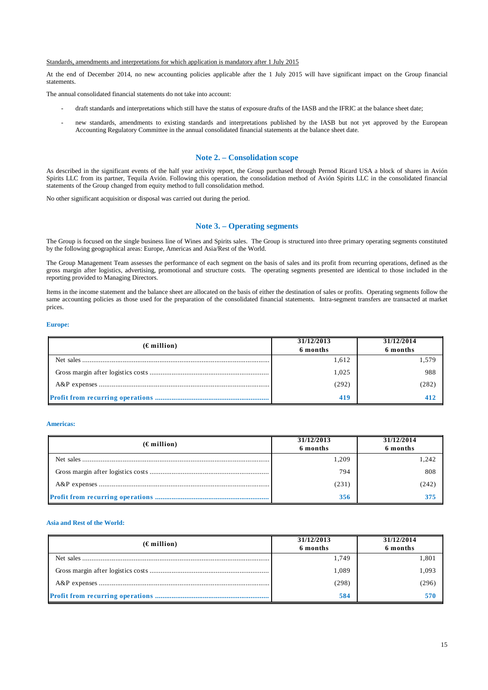#### Standards, amendments and interpretations for which application is mandatory after 1 July 2015

At the end of December 2014, no new accounting policies applicable after the 1 July 2015 will have significant impact on the Group financial statements.

The annual consolidated financial statements do not take into account:

- draft standards and interpretations which still have the status of exposure drafts of the IASB and the IFRIC at the balance sheet date;
- new standards, amendments to existing standards and interpretations published by the IASB but not yet approved by the European Accounting Regulatory Committee in the annual consolidated financial statements at the balance sheet date.

## **Note 2. – Consolidation scope**

As described in the significant events of the half year activity report, the Group purchased through Pernod Ricard USA a block of shares in Avión Spirits LLC from its partner, Tequila Avión. Following this operation, the consolidation method of Avión Spirits LLC in the consolidated financial statements of the Group changed from equity method to full consolidation method.

No other significant acquisition or disposal was carried out during the period.

## **Note 3. – Operating segments**

The Group is focused on the single business line of Wines and Spirits sales. The Group is structured into three primary operating segments constituted by the following geographical areas: Europe, Americas and Asia/Rest of the World.

The Group Management Team assesses the performance of each segment on the basis of sales and its profit from recurring operations, defined as the gross margin after logistics, advertising, promotional and structure costs. The operating segments presented are identical to those included in the reporting provided to Managing Directors.

Items in the income statement and the balance sheet are allocated on the basis of either the destination of sales or profits. Operating segments follow the same accounting policies as those used for the preparation of the consolidated financial statements. Intra-segment transfers are transacted at market prices.

#### **Europe:**

| $(\epsilon$ million) | 31/12/2013<br>6 months | 31/12/2014<br>6 months |
|----------------------|------------------------|------------------------|
|                      | 1,612                  | 1,579                  |
|                      | 1.025                  | 988                    |
|                      | (292)                  | (282)                  |
|                      | 419                    | 412                    |

#### **Americas:**

| $(\epsilon$ million) | 31/12/2013 | 31/12/2014 |  |
|----------------------|------------|------------|--|
|                      | 6 months   | 6 months   |  |
|                      | 1,209      | 1,242      |  |
|                      | 794        | 808        |  |
|                      | (231)      | (242)      |  |
|                      | 356        | 375        |  |

## **Asia and Rest of the World:**

| $(\epsilon$ million) | 31/12/2013<br>6 months | 31/12/2014<br>6 months |  |
|----------------------|------------------------|------------------------|--|
|                      | 1,749                  | 1,801                  |  |
|                      | 1,089                  | 1,093                  |  |
|                      | (298)                  | (296)                  |  |
|                      | 584                    | 570                    |  |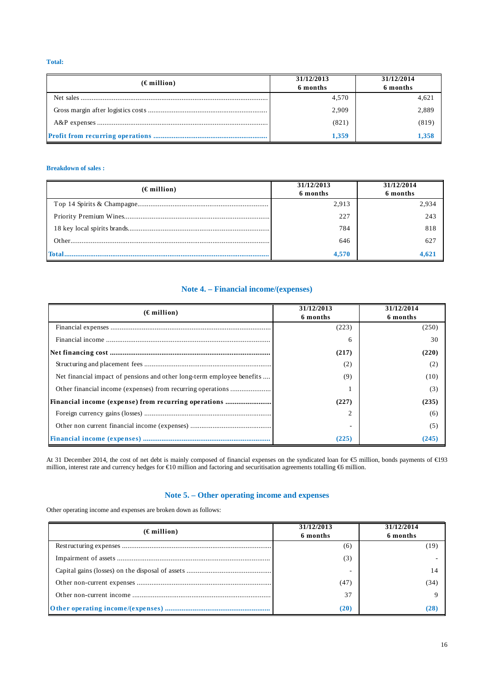**Total:** 

| $(\epsilon$ million) | 31/12/2013<br>6 months | 31/12/2014<br>6 months |
|----------------------|------------------------|------------------------|
|                      | 4,570                  | 4,621                  |
|                      | 2,909                  | 2,889                  |
|                      | (821)                  | (819)                  |
|                      | 1.359                  | 1.358                  |

## **Breakdown of sales :**

| $(\epsilon$ million) | 31/12/2013<br>6 months | 31/12/2014<br>6 months |
|----------------------|------------------------|------------------------|
|                      | 2.913                  | 2.934                  |
|                      | 227                    | 243                    |
|                      | 784                    | 818                    |
|                      | 646                    | 627                    |
|                      | 4.570                  | 4,621                  |

## **Note 4. – Financial income/(expenses)**

| $(\epsilon$ million)                                                   | 31/12/2013<br>6 months | 31/12/2014<br>6 months |
|------------------------------------------------------------------------|------------------------|------------------------|
|                                                                        | (223)                  | (250)                  |
|                                                                        | 6                      | 30                     |
|                                                                        | (217)                  | (220)                  |
|                                                                        | (2)                    |                        |
| Net financial impact of pensions and other long-term employee benefits | (9)                    | (10)                   |
|                                                                        |                        | (3)                    |
| Financial income (expense) from recurring operations                   | (227)                  | (235)                  |
|                                                                        |                        | (6)                    |
|                                                                        |                        | (5)                    |
|                                                                        | (225)                  | (245)                  |

At 31 December 2014, the cost of net debt is mainly composed of financial expenses on the syndicated loan for €5 million, bonds payments of €193 million, interest rate and currency hedges for €10 million and factoring and securitisation agreements totalling €6 million.

## **Note 5. – Other operating income and expenses**

Other operating income and expenses are broken down as follows:

| $(\epsilon$ million) | 31/12/2013<br>6 months | 31/12/2014<br>6 months |
|----------------------|------------------------|------------------------|
|                      | (6)                    | 19                     |
|                      | (3)                    |                        |
|                      |                        | 14                     |
|                      | (47)                   | (34)                   |
|                      | 37                     |                        |
|                      | (20)                   | '28                    |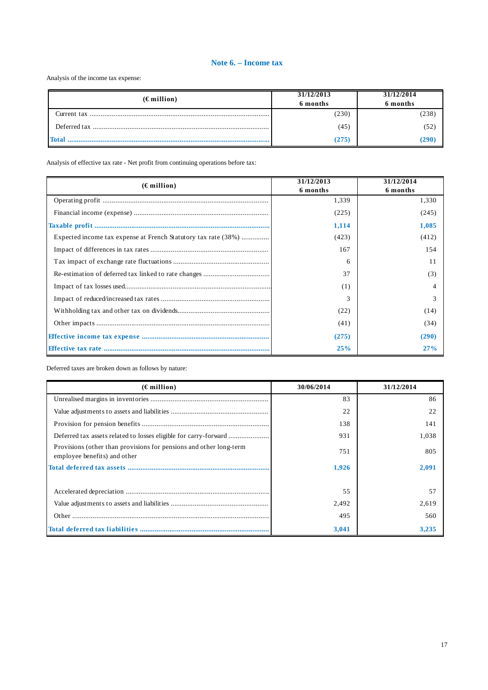## **Note 6. – Income tax**

Analysis of the income tax expense:

| $(\epsilon$ million) | 31/12/2013<br>6 months | 31/12/2014<br>6 months |
|----------------------|------------------------|------------------------|
| Current tax .        | (230)                  | (238)                  |
|                      | (45)                   | (52                    |
| Total                | (275)                  | 290                    |

Analysis of effective tax rate - Net profit from continuing operations before tax:

| $(\epsilon$ million)                                           | 31/12/2013<br>6 months | 31/12/2014<br>6 months |
|----------------------------------------------------------------|------------------------|------------------------|
|                                                                | 1,339                  | 1,330                  |
|                                                                | (225)                  | (245)                  |
|                                                                | 1,114                  | 1,085                  |
| Expected income tax expense at French Statutory tax rate (38%) | (423)                  | (412)                  |
|                                                                | 167                    | 154                    |
|                                                                | 6                      | 11                     |
|                                                                | 37                     | (3)                    |
|                                                                | (1)                    |                        |
|                                                                |                        |                        |
|                                                                | (22)                   | (14)                   |
|                                                                | (41)                   | (34)                   |
|                                                                | (275)                  | (290)                  |
|                                                                | 25%                    | 27%                    |

Deferred taxes are broken down as follows by nature:

| $(\epsilon$ million)                                                                               | 30/06/2014 | 31/12/2014 |
|----------------------------------------------------------------------------------------------------|------------|------------|
|                                                                                                    | 83         | 86         |
|                                                                                                    | 22         | 22         |
|                                                                                                    | 138        | 141        |
|                                                                                                    | 931        | 1,038      |
| Provisions (other than provisions for pensions and other long-term<br>employee benefits) and other | 751        | 805        |
|                                                                                                    | 1.926      | 2.091      |
|                                                                                                    |            |            |
|                                                                                                    | 55         | 57         |
|                                                                                                    | 2,492      | 2,619      |
|                                                                                                    | 495        | 560        |
|                                                                                                    | 3,041      | 3,235      |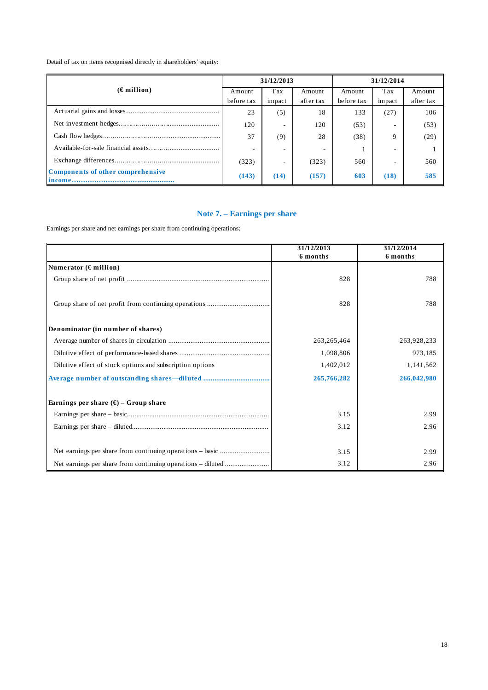Detail of tax on items recognised directly in shareholders' equity:

|                                          |            | 31/12/2013               |           | 31/12/2014 |                          |           |  |
|------------------------------------------|------------|--------------------------|-----------|------------|--------------------------|-----------|--|
| $(\epsilon$ million)                     | Amount     | Tax                      | Amount    | Amount     | Tax                      | Amount    |  |
|                                          | before tax | impact                   | after tax | before tax | impact                   | after tax |  |
|                                          | 23         | (5)                      | 18        | 133        | (27)                     | 106       |  |
|                                          | 120        | $\overline{\phantom{a}}$ | 120       | (53)       |                          | (53)      |  |
|                                          | 37         | (9)                      | 28        | (38)       | 9                        | (29)      |  |
|                                          |            | $\overline{\phantom{a}}$ | -         |            | $\overline{\phantom{a}}$ |           |  |
|                                          | (323)      | ۰                        | (323)     | 560        |                          | 560       |  |
| <b>Components of other comprehensive</b> | (143)      | (14)                     | (157)     | 603        | (18)                     | 585       |  |

## **Note 7. – Earnings per share**

Earnings per share and net earnings per share from continuing operations:

|                                                           | 31/12/2013<br>6 months | 31/12/2014<br>6 months |
|-----------------------------------------------------------|------------------------|------------------------|
| Numerator ( $\epsilon$ million)                           |                        |                        |
|                                                           | 828                    | 788                    |
|                                                           | 828                    | 788                    |
| Denominator (in number of shares)                         |                        |                        |
|                                                           | 263, 265, 464          | 263,928,233            |
|                                                           | 1,098,806              | 973,185                |
| Dilutive effect of stock options and subscription options | 1,402,012              | 1,141,562              |
|                                                           | 265,766,282            | 266,042,980            |
| Earnings per share $(\epsilon)$ – Group share             |                        |                        |
|                                                           | 3.15                   | 2.99                   |
|                                                           | 3.12                   | 2.96                   |
|                                                           |                        |                        |
|                                                           | 3.15                   | 2.99                   |
|                                                           | 3.12                   | 2.96                   |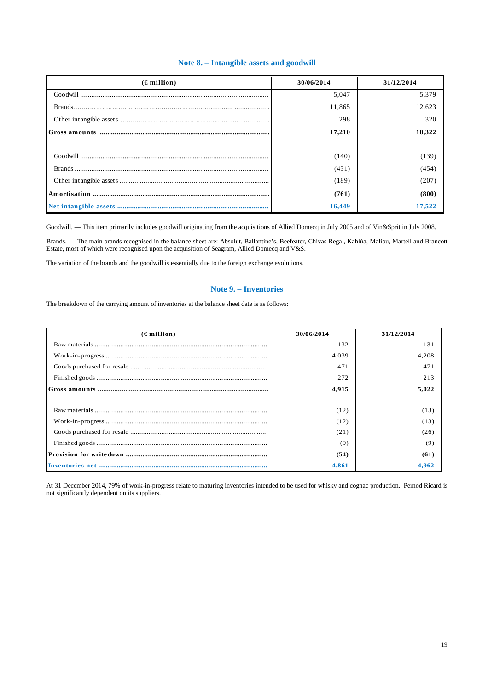## **Note 8. – Intangible assets and goodwill**

| $(\epsilon$ million) | 30/06/2014 | 31/12/2014 |
|----------------------|------------|------------|
|                      | 5.047      | 5,379      |
|                      | 11,865     | 12,623     |
|                      | 298        | 320        |
|                      | 17,210     | 18,322     |
|                      |            |            |
|                      | (140)      | (139)      |
|                      | (431)      | (454)      |
|                      | (189)      | (207)      |
|                      | (761)      | (800)      |
|                      | 16,449     | 17,522     |

Goodwill. - This item primarily includes goodwill originating from the acquisitions of Allied Domecq in July 2005 and of Vin&Sprit in July 2008.

Brands. — The main brands recognised in the balance sheet are: Absolut, Ballantine's, Beefeater, Chivas Regal, Kahlúa, Malibu, Martell and Brancott Estate, most of which were recognised upon the acquisition of Seagram, Allied Domecq and V&S.

The variation of the brands and the goodwill is essentially due to the foreign exchange evolutions.

## **Note 9. – Inventories**

The breakdown of the carrying amount of inventories at the balance sheet date is as follows:

| $(\epsilon$ million) | 30/06/2014 | 31/12/2014 |
|----------------------|------------|------------|
|                      | 132        | 131        |
|                      | 4.039      | 4,208      |
|                      | 471        | 471        |
|                      | 272        | 213        |
|                      | 4,915      | 5,022      |
|                      |            |            |
|                      | (12)       | (13)       |
|                      | (12)       | (13)       |
|                      | (21)       | (26)       |
|                      | (9)        | (9)        |
|                      | (54)       | (61)       |
|                      | 4.861      | 4.962      |

At 31 December 2014, 79% of work-in-progress relate to maturing inventories intended to be used for whisky and cognac production. Pernod Ricard is not significantly dependent on its suppliers.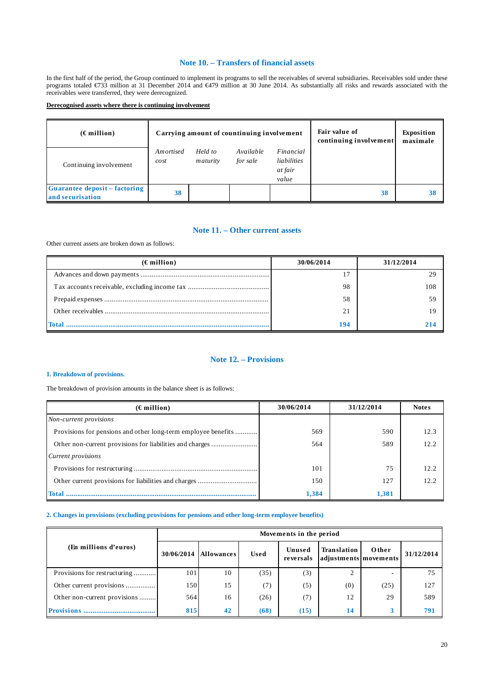## **Note 10. – Transfers of financial assets**

In the first half of the period, the Group continued to implement its programs to sell the receivables of several subsidiaries. Receivables sold under these programs totaled €733 million at 31 December 2014 and €479 million at 30 June 2014. As substantially all risks and rewards associated with the receivables were transferred, they were derecognized.

## **Derecognised assets where there is continuing involvement**

| $(\epsilon$ million)                                     | Carrying amount of countinuing involvement |                     |                       |                                              | Fair value of<br>continuing involvement | <b>Exposition</b><br>maximale |
|----------------------------------------------------------|--------------------------------------------|---------------------|-----------------------|----------------------------------------------|-----------------------------------------|-------------------------------|
| Continuing involvement                                   | Amortised<br>cost                          | Held to<br>maturity | Available<br>for sale | Financial<br>liabilities<br>at fair<br>value |                                         |                               |
| <b>Guarantee deposit – factoring</b><br>and securisation | 38                                         |                     |                       |                                              | 38                                      | 38                            |

## **Note 11. – Other current assets**

Other current assets are broken down as follows:

| $(\epsilon$ million) | 30/06/2014 | 31/12/2014 |
|----------------------|------------|------------|
|                      |            |            |
|                      | 98         |            |
|                      | 58         |            |
|                      | 21         |            |
|                      | 194        |            |

## **Note 12. – Provisions**

## **1. Breakdown of provisions.**

The breakdown of provision amounts in the balance sheet is as follows:

| $(\epsilon$ million)                                          | 30/06/2014 | 31/12/2014 | <b>Notes</b> |
|---------------------------------------------------------------|------------|------------|--------------|
| Non-current provisions                                        |            |            |              |
| Provisions for pensions and other long-term employee benefits | 569        | 590        | 12.3         |
|                                                               | 564        | 589        | 12.2         |
| Current provisions                                            |            |            |              |
|                                                               | 101        | 75         | 12.2.        |
|                                                               | 150        | 127        | 12.2         |
| Total                                                         | 1,384      | 1.381      |              |

## **2. Changes in provisions (excluding provisions for pensions and other long-term employee benefits)**

|                              |            | Movements in the period |             |                            |                                      |       |            |  |  |  |
|------------------------------|------------|-------------------------|-------------|----------------------------|--------------------------------------|-------|------------|--|--|--|
| (En millions d'euros)        | 30/06/2014 | <b>Allowances</b>       | <b>Used</b> | Unused<br><b>reversals</b> | Translation<br>adjustments movements | Other | 31/12/2014 |  |  |  |
| Provisions for restructuring | 101        | 10                      | (35)        | (3)                        | ◠                                    |       | 75         |  |  |  |
| Other current provisions     | 150        | 15                      | (7)         | (5)                        | (0)                                  | (25)  | 127        |  |  |  |
| Other non-current provisions | 564        | 16                      | (26)        | (7)                        | 12                                   | 29    | 589        |  |  |  |
| Provisione                   | 815        | 42                      | (68)        | (15)                       | 14                                   |       | 791        |  |  |  |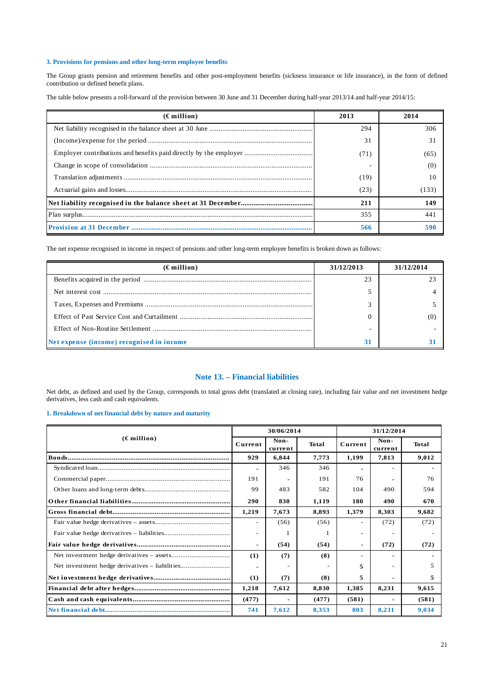## **3. Provisions for pensions and other long-term employee benefits**

The Group grants pension and retirement benefits and other post-employment benefits (sickness insurance or life insurance), in the form of defined contribution or defined benefit plans.

The table below presents a roll-forward of the provision between 30 June and 31 December during half-year 2013/14 and half-year 2014/15:

| $(\epsilon$ million) | 2013 | 2014  |
|----------------------|------|-------|
|                      | 294  | 306   |
|                      | 31   | 31    |
|                      | (71) | (65)  |
|                      |      | (0)   |
|                      | (19) | 10    |
|                      | (23) | (133) |
|                      | 211  | 149   |
|                      | 355  | 441   |
|                      | 566  | 590   |

The net expense recognised in income in respect of pensions and other long-term employee benefits is broken down as follows:

| $(\epsilon$ million)                      | 31/12/2013 | 31/12/2014 |
|-------------------------------------------|------------|------------|
|                                           | 23         |            |
|                                           |            |            |
|                                           |            |            |
|                                           |            |            |
|                                           |            |            |
| Net expense (income) recognised in income | 31         |            |

## **Note 13. – Financial liabilities**

Net debt, as defined and used by the Group, corresponds to total gross debt (translated at closing rate), including fair value and net investment hedge derivatives, less cash and cash equivalents.

## **1. Breakdown of net financial debt by nature and maturity**

| $(\epsilon$ million) |                          | 30/06/2014      |              |         | 31/12/2014      |              |  |
|----------------------|--------------------------|-----------------|--------------|---------|-----------------|--------------|--|
|                      |                          | Non-<br>current | <b>Total</b> | Current | Non-<br>current | <b>Total</b> |  |
|                      | 929                      | 6,844           | 7,773        | 1,199   | 7,813           | 9,012        |  |
|                      | ٠                        | 346             | 346          |         |                 |              |  |
|                      | 191                      |                 | 191          | 76      |                 | 76           |  |
|                      | 99                       | 483             | 582          | 104     | 490             | 594          |  |
|                      | 290                      | 830             | 1,119        | 180     | 490             | 670          |  |
|                      | 1,219                    | 7,673           | 8,893        | 1,379   | 8,303           | 9,682        |  |
|                      | $\overline{\phantom{a}}$ | (56)            | (56)         |         | (72)            | (72)         |  |
|                      | $\equiv$                 |                 |              |         |                 |              |  |
|                      | ۰                        | (54)            | (54)         | ۰       | (72)            | (72)         |  |
|                      | (1)                      | (7)             | (8)          |         |                 |              |  |
|                      |                          |                 |              | 5       |                 |              |  |
|                      | (1)                      | (7)             | (8)          | 5       |                 | 5            |  |
|                      | 1,218                    | 7,612           | 8,830        | 1,385   | 8,231           | 9,615        |  |
|                      | (477)                    |                 | (477)        | (581)   |                 | (581)        |  |
|                      | 741                      | 7,612           | 8.353        | 803     | 8,231           | 9.034        |  |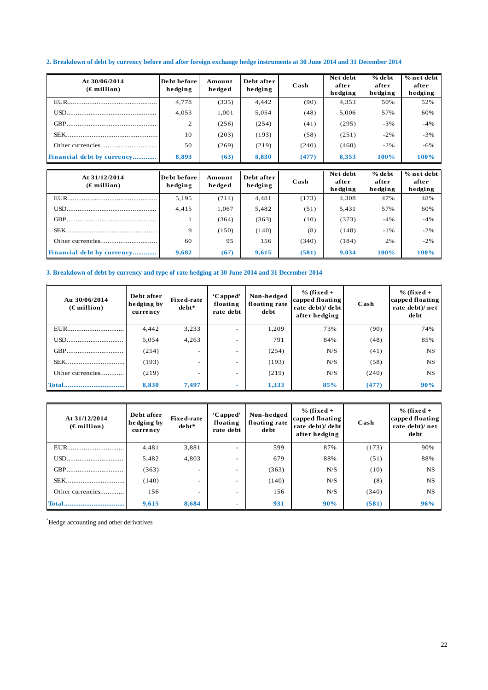## **2. Breakdown of debt by currency before and after foreign exchange hedge instruments at 30 June 2014 and 31 December 2014**

| At 30/06/2014<br>$(\epsilon$ million) | De bt before<br>hedging | Amount<br>hedged | Debt after<br>hedging | Cash  | Net debt<br>after<br>hedging | $%$ de bt<br>after<br>hedging | % net debt<br>after<br>hedging |
|---------------------------------------|-------------------------|------------------|-----------------------|-------|------------------------------|-------------------------------|--------------------------------|
|                                       | 4,778                   | (335)            | 4,442                 | (90)  | 4,353                        | 50%                           | 52%                            |
|                                       | 4,053                   | 1,001            | 5,054                 | (48)  | 5,006                        | 57%                           | 60%                            |
|                                       | 2                       | (256)            | (254)                 | (41)  | (295)                        | $-3%$                         | $-4%$                          |
|                                       | 10                      | (203)            | (193)                 | (58)  | (251)                        | $-2\%$                        | $-3%$                          |
|                                       | 50                      | (269)            | (219)                 | (240) | (460)                        | $-2\%$                        | $-6%$                          |
| Financial debt by currency            | 8,893                   | (63)             | 8,830                 | (477) | 8,353                        | 100%                          | 100%                           |

| At 31/12/2014<br>$(\epsilon$ million) | De bt before<br>hedging | Amount<br>hedged | Debt after<br>hedging | $\bf Cash$ | Net debt<br>after<br>hedging | $%$ de bt<br>after<br>hedging | $%$ net debt<br>after<br>hedging |
|---------------------------------------|-------------------------|------------------|-----------------------|------------|------------------------------|-------------------------------|----------------------------------|
|                                       | 5,195                   | (714)            | 4,481                 | (173)      | 4,308                        | 47%                           | 48%                              |
|                                       | 4,415                   | 1,067            | 5,482                 | (51)       | 5,431                        | 57%                           | 60%                              |
|                                       |                         | (364)            | (363)                 | (10)       | (373)                        | $-4%$                         | $-4%$                            |
|                                       | $\mathbf Q$             | (150)            | (140)                 | (8)        | (148)                        | $-1\%$                        | $-2%$                            |
|                                       | 60                      | 95               | 156                   | (340)      | (184)                        | 2%                            | $-2%$                            |
| Financial debt by currency            | 9,682                   | (67)             | 9,615                 | (581)      | 9,034                        | 100%                          | 100%                             |

## **3. Breakdown of debt by currency and type of rate hedging at 30 June 2014 and 31 December 2014**

| Au 30/06/2014<br>$(\epsilon$ million) | Debt after<br>hedging by<br>currency | <b>Fixed-rate</b><br>debt* | 'Capped'<br>floating<br>rate debt | Non-hedged<br>floating rate<br>de bt | $%$ (fixed +<br>capped floating<br>rate debt)/ debt<br>after hedging | Cash  | $%$ (fixed +<br>capped floating<br>rate debt)/net<br>debt |
|---------------------------------------|--------------------------------------|----------------------------|-----------------------------------|--------------------------------------|----------------------------------------------------------------------|-------|-----------------------------------------------------------|
| EUR                                   | 4,442                                | 3,233                      | $\overline{\phantom{a}}$          | 1,209                                | 73%                                                                  | (90)  | 74%                                                       |
| USD                                   | 5,054                                | 4,263                      | $\overline{\phantom{a}}$          | 791                                  | 84%                                                                  | (48)  | 85%                                                       |
| GBP                                   | (254)                                |                            | $\overline{\phantom{0}}$          | (254)                                | N/S                                                                  | (41)  | <b>NS</b>                                                 |
| SEK                                   | (193)                                | ۰.                         | $\overline{\phantom{0}}$          | (193)                                | N/S                                                                  | (58)  | NS.                                                       |
| Other currencies                      | (219)                                |                            | $\overline{\phantom{a}}$          | (219)                                | N/S                                                                  | (240) | NS.                                                       |
| <b>Total</b>                          | 8,830                                | 7,497                      |                                   | 1,333                                | 85%                                                                  | (477) | 90%                                                       |

| At 31/12/2014<br>$(\epsilon$ million) | Debt after<br>hedging by<br>currency | <b>Fixed-rate</b><br>de bt* | 'Capped'<br>floating<br>rate debt | Non-hedged<br>floating rate<br>de bt | $%$ (fixed +<br>capped floating<br>rate debt)/ debt<br>after hedging | Cash  | $%$ (fixed +<br>capped floating<br>rate debt)/net<br>debt |
|---------------------------------------|--------------------------------------|-----------------------------|-----------------------------------|--------------------------------------|----------------------------------------------------------------------|-------|-----------------------------------------------------------|
|                                       | 4,481                                | 3,881                       | $\overline{\phantom{a}}$          | 599                                  | 87%                                                                  | (173) | 90%                                                       |
| USD                                   | 5,482                                | 4,803                       | $\overline{\phantom{a}}$          | 679                                  | 88%                                                                  | (51)  | 88%                                                       |
| GBP                                   | (363)                                |                             | $\overline{\phantom{m}}$          | (363)                                | N/S                                                                  | (10)  | <b>NS</b>                                                 |
| SEK                                   | (140)                                | $\overline{\phantom{a}}$    | $\overline{\phantom{0}}$          | (140)                                | N/S                                                                  | (8)   | <b>NS</b>                                                 |
| Other currencies                      | 156                                  | $\overline{\phantom{a}}$    | $\overline{\phantom{a}}$          | 156                                  | N/S                                                                  | (340) | <b>NS</b>                                                 |
| <b>Total</b>                          | 9,615                                | 8,684                       | $\sim$                            | 931                                  | 90%                                                                  | (581) | 96%                                                       |

\*Hedge accounting and other derivatives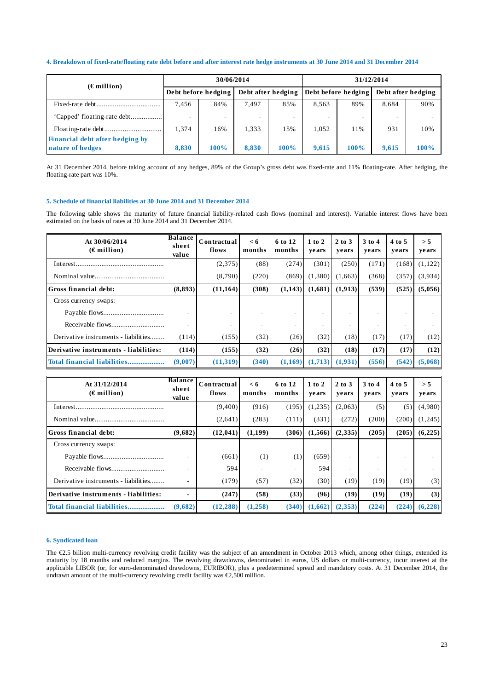## **4. Breakdown of fixed-rate/floating rate debt before and after interest rate hedge instruments at 30 June 2014 and 31 December 2014**

| $(\epsilon$ million)                   |                          | 30/06/2014 |                          |      | 31/12/2014          |                          |                    |      |
|----------------------------------------|--------------------------|------------|--------------------------|------|---------------------|--------------------------|--------------------|------|
|                                        | Debt before hedging      |            | Debt after hedging       |      | Debt before hedging |                          | Debt after hedging |      |
|                                        | 7,456                    | 84%        | 7.497                    | 85%  | 8,563               | 89%                      | 8.684              | 90%  |
| 'Capped' floating-rate debt            | $\overline{\phantom{a}}$ | ۰          | $\overline{\phantom{a}}$ |      |                     | $\overline{\phantom{a}}$ |                    |      |
| <b>Financial debt after hedging by</b> | 1,374                    | 16%        | 1,333                    | 15%  | 1,052               | 11%                      | 931                | 10%  |
| nature of hedges                       | 8,830                    | 100%       | 8.830                    | 100% | 9.615               | 100%                     | 9.615              | 100% |

At 31 December 2014, before taking account of any hedges, 89% of the Group's gross debt was fixed-rate and 11% floating-rate. After hedging, the floating-rate part was 10%.

## **5. Schedule of financial liabilities at 30 June 2014 and 31 December 2014**

The following table shows the maturity of future financial liability-related cash flows (nominal and interest). Variable interest flows have been estimated on the basis of rates at 30 June 2014 and 31 December 2014.

| At 30/06/2014<br>$(\epsilon$ million) | <b>Balance</b><br>sheet<br>value | Contractual<br>flows | < 6<br>months | 6 to 12<br>months | $1$ to $2$<br>vears | $2$ to $3$<br>vears | 3 to 4<br>vears | $4$ to 5<br>vears | > 5<br>years |
|---------------------------------------|----------------------------------|----------------------|---------------|-------------------|---------------------|---------------------|-----------------|-------------------|--------------|
| Interest                              |                                  | (2,375)              | (88)          | (274)             | (301)               | (250)               | (171)           | (168)             | (1,122)      |
|                                       |                                  | (8,790)              | (220)         | (869)             | (1,380)             | (1.663)             | (368)           | (357)             | (3,934)      |
| Gross financial debt:                 | (8,893)                          | (11, 164)            | (308)         | (1,143)           | (1,681)             | (1,913)             | (539)           | (525)             | (5,056)      |
| Cross currency swaps:                 |                                  |                      |               |                   |                     |                     |                 |                   |              |
|                                       |                                  |                      |               |                   |                     | ۰                   |                 |                   |              |
|                                       |                                  |                      |               |                   | ٠                   | ۰                   |                 |                   |              |
| Derivative instruments - liabilities  | (114)                            | (155)                | (32)          | (26)              | (32)                | (18)                | (17)            | (17)              | (12)         |
| Derivative instruments - liabilities: | (114)                            | (155)                | (32)          | (26)              | (32)                | (18)                | (17)            | (17)              | (12)         |
| Total financial liabilities           | (9,007)                          | (11,319)             | (340)         | (1,169)           | (1,713)             | (1,931)             | (556)           | (542)             | (5,068)      |

| At 31/12/2014<br>$(\epsilon$ million) | <b>Balance</b><br>sheet<br>value | Contractual<br>flows | < 6<br>months | 6 to 12<br>months | $1$ to $2$<br>vears | $2$ to $3$<br>vears | $3$ to 4<br>years | 4 to 5<br>years | > 5<br>years |
|---------------------------------------|----------------------------------|----------------------|---------------|-------------------|---------------------|---------------------|-------------------|-----------------|--------------|
|                                       |                                  | (9,400)              | (916)         | (195)             | (1,235)             | (2,063)             | (5)               | (5)             | (4,980)      |
|                                       |                                  | (2,641)              | (283)         | (111)             | (331)               | (272)               | (200)             | (200)           | (1,245)      |
| Gross financial debt:                 | (9,682)                          | (12, 041)            | (1,199)       | (306)             | (1,566)             | (2,335)             | (205)             | (205)           | (6,225)      |
| Cross currency swaps:                 |                                  |                      |               |                   |                     |                     |                   |                 |              |
|                                       |                                  | (661)                | (1)           | (1)               | (659)               | ۰                   |                   |                 |              |
|                                       |                                  | 594                  | ۰             |                   | 594                 |                     |                   |                 |              |
| Derivative instruments - liabilities  |                                  | (179)                | (57)          | (32)              | (30)                | (19)                | (19)              | (19)            | (3)          |
| Derivative instruments - liabilities: |                                  | (247)                | (58)          | (33)              | (96)                | (19)                | (19)              | (19)            | (3)          |
|                                       | (9,682)                          | (12, 288)            | (1, 258)      | (340)             | (1,662)             | (2,353)             | (224)             | (224)           | (6, 228)     |

### **6. Syndicated loan**

The €2.5 billion multi-currency revolving credit facility was the subject of an amendment in October 2013 which, among other things, extended its maturity by 18 months and reduced margins. The revolving drawdowns, denominated in euros, US dollars or multi-currency, incur interest at the applicable LIBOR (or, for euro-denominated drawdowns, EURIBOR), plus a predetermined spread and mandatory costs. At 31 December 2014, the undrawn amount of the multi-currency revolving credit facility was  $\epsilon$ 2,500 million.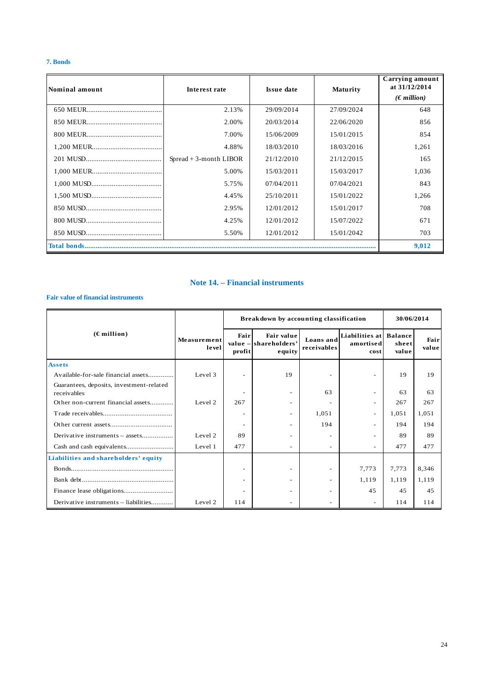## **7. Bonds**

| Nominal amount | Interest rate            | <b>Issue date</b> | <b>Maturity</b> | Carrying amount<br>at 31/12/2014 |
|----------------|--------------------------|-------------------|-----------------|----------------------------------|
|                |                          |                   |                 | $(\epsilon \text{ million})$     |
|                | 2.13%                    | 29/09/2014        | 27/09/2024      | 648                              |
|                | 2.00%                    | 20/03/2014        | 22/06/2020      | 856                              |
|                | 7.00%                    | 15/06/2009        | 15/01/2015      | 854                              |
|                | 4.88%                    | 18/03/2010        | 18/03/2016      | 1,261                            |
|                | $Spread + 3-month LIBOR$ | 21/12/2010        | 21/12/2015      | 165                              |
|                | 5.00%                    | 15/03/2011        | 15/03/2017      | 1,036                            |
|                | 5.75%                    | 07/04/2011        | 07/04/2021      | 843                              |
|                | 4.45%                    | 25/10/2011        | 15/01/2022      | 1,266                            |
|                | 2.95%                    | 12/01/2012        | 15/01/2017      | 708                              |
|                | 4.25%                    | 12/01/2012        | 15/07/2022      | 671                              |
|                | 5.50%                    | 12/01/2012        | 15/01/2042      | 703                              |
|                |                          |                   |                 | 9,012                            |

## **Note 14. – Financial instruments**

## **Fair value of financial instruments**

|                                                         |                      |                | Breakdown by accounting classification        |                          |                                     | 30/06/2014                       |               |
|---------------------------------------------------------|----------------------|----------------|-----------------------------------------------|--------------------------|-------------------------------------|----------------------------------|---------------|
| $(\epsilon$ million)                                    | Measurement<br>level | Fair<br>profit | Fair value<br>value - shareholders'<br>equity | Loans and<br>receivables | Liabilities at<br>amortised<br>cost | <b>Balance</b><br>sheet<br>value | Fair<br>value |
| <b>Assets</b>                                           |                      |                |                                               |                          |                                     |                                  |               |
| Available-for-sale financial assets                     | Level 3              | $\sim$         | 19                                            |                          | $\overline{\phantom{a}}$            | 19                               | 19            |
| Guarantees, deposits, investment-related<br>receivables |                      |                | $\overline{\phantom{a}}$                      | 63                       | $\overline{\phantom{a}}$            | 63                               | 63            |
| Other non-current financial assets                      | Level 2              | 267            |                                               |                          | $\overline{\phantom{a}}$            | 267                              | 267           |
|                                                         |                      |                | $\overline{\phantom{a}}$                      | 1,051                    | $\overline{\phantom{a}}$            | 1,051                            | 1,051         |
|                                                         |                      |                | $\overline{\phantom{m}}$                      | 194                      | $\overline{\phantom{a}}$            | 194                              | 194           |
| Derivative instruments – assets                         | Level 2              | 89             | $\overline{\phantom{a}}$                      |                          | $\overline{\phantom{a}}$            | 89                               | 89            |
|                                                         | Level 1              | 477            | $\overline{\phantom{a}}$                      |                          | $\overline{\phantom{a}}$            | 477                              | 477           |
| Liabilities and shareholders' equity                    |                      |                |                                               |                          |                                     |                                  |               |
|                                                         |                      | $\sim$         | $\overline{\phantom{a}}$                      |                          | 7,773                               | 7,773                            | 8,346         |
|                                                         |                      |                | $\overline{\phantom{a}}$                      |                          | 1,119                               | 1,119                            | 1,119         |
|                                                         |                      |                | ٠                                             |                          | 45                                  | 45                               | 45            |
| Derivative instruments - liabilities                    | Level 2              | 114            |                                               |                          |                                     | 114                              | 114           |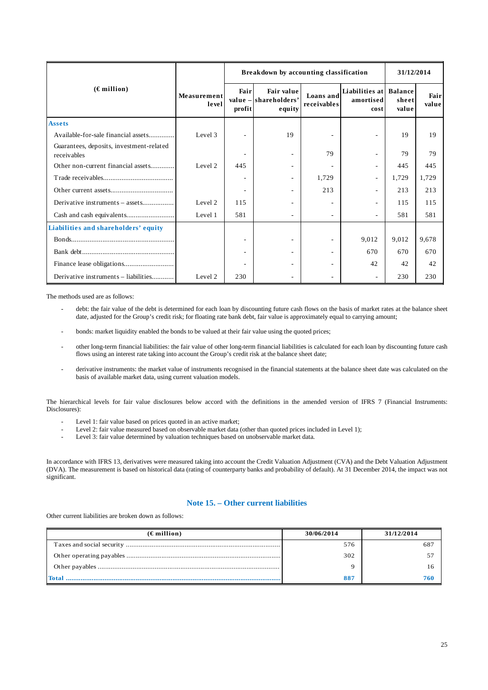|                                                         |                      |                | Breakdown by accounting classification               |                          | 31/12/2014                                  |                |               |
|---------------------------------------------------------|----------------------|----------------|------------------------------------------------------|--------------------------|---------------------------------------------|----------------|---------------|
| $(\epsilon$ million)                                    | Measurement<br>level | Fair<br>profit | <b>Fair value</b><br>value - shareholders'<br>equity | Loans and<br>receivables | Liabilities at Balance<br>amortised<br>cost | sheet<br>value | Fair<br>value |
| <b>Assets</b>                                           |                      |                |                                                      |                          |                                             |                |               |
| Available-for-sale financial assets                     | Level 3              |                | 19                                                   |                          |                                             | 19             | 19            |
| Guarantees, deposits, investment-related<br>receivables |                      |                | $\sim$                                               | 79                       | ٠                                           | 79             | 79            |
| Other non-current financial assets                      | Level 2              | 445            | ۰                                                    |                          | $\overline{\phantom{a}}$                    | 445            | 445           |
|                                                         |                      |                | $\sim$                                               | 1,729                    | ٠                                           | 1,729          | 1,729         |
|                                                         |                      |                | $\sim$                                               | 213                      | ٠                                           | 213            | 213           |
| Derivative instruments – assets                         | Level 2              | 115            | ٠                                                    |                          | $\sim$                                      | 115            | 115           |
|                                                         | Level 1              | 581            | Ξ.                                                   |                          | ٠                                           | 581            | 581           |
| Liabilities and shareholders' equity                    |                      |                |                                                      |                          |                                             |                |               |
|                                                         |                      |                | ۰                                                    |                          | 9,012                                       | 9,012          | 9,678         |
|                                                         |                      |                |                                                      |                          | 670                                         | 670            | 670           |
|                                                         |                      |                |                                                      |                          | 42                                          | 42             | 42            |
| Derivative instruments - liabilities                    | Level 2              | 230            |                                                      |                          |                                             | 230            | 230           |

The methods used are as follows:

- debt: the fair value of the debt is determined for each loan by discounting future cash flows on the basis of market rates at the balance sheet date, adjusted for the Group's credit risk; for floating rate bank debt, fair value is approximately equal to carrying amount;
- bonds: market liquidity enabled the bonds to be valued at their fair value using the quoted prices;
- other long-term financial liabilities: the fair value of other long-term financial liabilities is calculated for each loan by discounting future cash flows using an interest rate taking into account the Group's credit risk at the balance sheet date;
- derivative instruments: the market value of instruments recognised in the financial statements at the balance sheet date was calculated on the basis of available market data, using current valuation models.

The hierarchical levels for fair value disclosures below accord with the definitions in the amended version of IFRS 7 (Financial Instruments: Disclosures):

- Level 1: fair value based on prices quoted in an active market;
- Level 2: fair value measured based on observable market data (other than quoted prices included in Level 1);
- Level 3: fair value determined by valuation techniques based on unobservable market data.

In accordance with IFRS 13, derivatives were measured taking into account the Credit Valuation Adjustment (CVA) and the Debt Valuation Adjustment (DVA). The measurement is based on historical data (rating of counterparty banks and probability of default). At 31 December 2014, the impact was not significant.

## **Note 15. – Other current liabilities**

Other current liabilities are broken down as follows:

| $(\epsilon$ million) | 30/06/2014 | 31/12/2014 |
|----------------------|------------|------------|
|                      | 576        | 687        |
|                      | 302        |            |
|                      |            |            |
|                      | 88'        |            |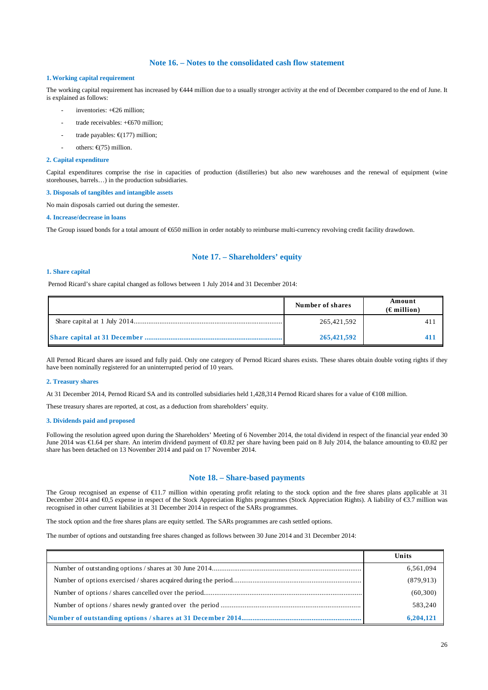## **Note 16. – Notes to the consolidated cash flow statement**

## **1.Working capital requirement**

The working capital requirement has increased by  $\epsilon$ 444 million due to a usually stronger activity at the end of December compared to the end of June. It is explained as follows:

- inventories:  $+$ €26 million;
- trade receivables:  $+ \epsilon$ 670 million:
- trade payables:  $\epsilon$ (177) million;
- others: €(75) million.

### **2. Capital expenditure**

Capital expenditures comprise the rise in capacities of production (distilleries) but also new warehouses and the renewal of equipment (wine storehouses, barrels…) in the production subsidiaries.

#### **3. Disposals of tangibles and intangible assets**

No main disposals carried out during the semester.

#### **4. Increase/decrease in loans**

The Group issued bonds for a total amount of €650 million in order notably to reimburse multi-currency revolving credit facility drawdown.

## **Note 17. – Shareholders' equity**

#### **1. Share capital**

Pernod Ricard's share capital changed as follows between 1 July 2014 and 31 December 2014:

| Number of shares | Amount<br>$(\epsilon$ million) |
|------------------|--------------------------------|
| 265,421,592      | 41                             |
| 265,421,592      |                                |

All Pernod Ricard shares are issued and fully paid. Only one category of Pernod Ricard shares exists. These shares obtain double voting rights if they have been nominally registered for an uninterrupted period of 10 years.

#### **2. Treasury shares**

At 31 December 2014, Pernod Ricard SA and its controlled subsidiaries held 1,428,314 Pernod Ricard shares for a value of €108 million.

These treasury shares are reported, at cost, as a deduction from shareholders' equity.

### **3. Dividends paid and proposed**

Following the resolution agreed upon during the Shareholders' Meeting of 6 November 2014, the total dividend in respect of the financial year ended 30 June 2014 was €1.64 per share. An interim dividend payment of €0.82 per share having been paid on 8 July 2014, the balance amounting to €0.82 per share has been detached on 13 November 2014 and paid on 17 November 2014.

## **Note 18. – Share-based payments**

The Group recognised an expense of  $E11.7$  million within operating profit relating to the stock option and the free shares plans applicable at 31 December 2014 and €0,5 expense in respect of the Stock Appreciation Rights programmes (Stock Appreciation Rights). A liability of  $\epsilon$ 3.7 million was recognised in other current liabilities at 31 December 2014 in respect of the SARs programmes.

The stock option and the free shares plans are equity settled. The SARs programmes are cash settled options.

The number of options and outstanding free shares changed as follows between 30 June 2014 and 31 December 2014:

| Units      |
|------------|
| 6,561,094  |
| (879, 913) |
| (60, 300)  |
| 583,240    |
| 6,204,121  |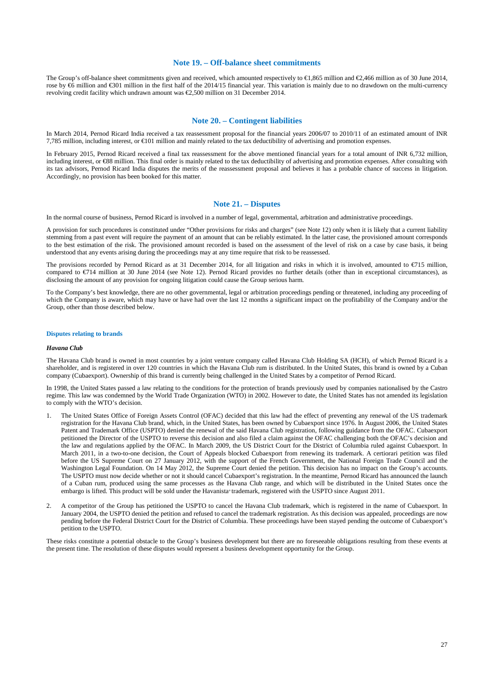## **Note 19. – Off-balance sheet commitments**

The Group's off-balance sheet commitments given and received, which amounted respectively to €1,865 million and €2,466 million as of 30 June 2014, rose by €6 million and €301 million in the first hard of the 2014/15 financial year. This variation is mainly due to no drawdown on the multi-currency revolving credit facility which undrawn amount was €2,500 million on 31 December 2014.

## **Note 20. – Contingent liabilities**

In March 2014, Pernod Ricard India received a tax reassessment proposal for the financial years 2006/07 to 2010/11 of an estimated amount of INR 7,785 million, including interest, or €101 million and mainly related to the tax deductibility of advertising and promotion expenses.

In February 2015, Pernod Ricard received a final tax reassessment for the above mentioned financial years for a total amount of INR 6,732 million, including interest, or €88 million. This final order is mainly related to the tax deductibility of advertising and promotion expenses. After consulting with its tax advisors, Pernod Ricard India disputes the merits of the reassessment proposal and believes it has a probable chance of success in litigation. Accordingly, no provision has been booked for this matter.

## **Note 21. – Disputes**

In the normal course of business, Pernod Ricard is involved in a number of legal, governmental, arbitration and administrative proceedings.

A provision for such procedures is constituted under "Other provisions for risks and charges" (see Note 12) only when it is likely that a current liability stemming from a past event will require the payment of an amount that can be reliably estimated. In the latter case, the provisioned amount corresponds to the best estimation of the risk. The provisioned amount recorded is based on the assessment of the level of risk on a case by case basis, it being understood that any events arising during the proceedings may at any time require that risk to be reassessed.

The provisions recorded by Pernod Ricard as at 31 December 2014, for all litigation and risks in which it is involved, amounted to  $\epsilon$ 715 million, compared to €714 million at 30 June 2014 (see Note 12). Pernod Ricard provides no further details (other than in exceptional circumstances), as disclosing the amount of any provision for ongoing litigation could cause the Group serious harm.

To the Company's best knowledge, there are no other governmental, legal or arbitration proceedings pending or threatened, including any proceeding of which the Company is aware, which may have or have had over the last 12 months a significant impact on the profitability of the Company and/or the Group, other than those described below.

#### **Disputes relating to brands**

### *Havana Club*

The Havana Club brand is owned in most countries by a joint venture company called Havana Club Holding SA (HCH), of which Pernod Ricard is a shareholder, and is registered in over 120 countries in which the Havana Club rum is distributed. In the United States, this brand is owned by a Cuban company (Cubaexport). Ownership of this brand is currently being challenged in the United States by a competitor of Pernod Ricard.

In 1998, the United States passed a law relating to the conditions for the protection of brands previously used by companies nationalised by the Castro regime. This law was condemned by the World Trade Organization (WTO) in 2002. However to date, the United States has not amended its legislation to comply with the WTO's decision.

- 1. The United States Office of Foreign Assets Control (OFAC) decided that this law had the effect of preventing any renewal of the US trademark registration for the Havana Club brand, which, in the United States, has been owned by Cubaexport since 1976. In August 2006, the United States Patent and Trademark Office (USPTO) denied the renewal of the said Havana Club registration, following guidance from the OFAC. Cubaexport petitioned the Director of the USPTO to reverse this decision and also filed a claim against the OFAC challenging both the OFAC's decision and the law and regulations applied by the OFAC. In March 2009, the US District Court for the District of Columbia ruled against Cubaexport. In March 2011, in a two-to-one decision, the Court of Appeals blocked Cubaexport from renewing its trademark. A certiorari petition was filed before the US Supreme Court on 27 January 2012, with the support of the French Government, the National Foreign Trade Council and the Washington Legal Foundation. On 14 May 2012, the Supreme Court denied the petition. This decision has no impact on the Group's accounts. The USPTO must now decide whether or not it should cancel Cubaexport's registration. In the meantime, Pernod Ricard has announced the launch of a Cuban rum, produced using the same processes as the Havana Club range, and which will be distributed in the United States once the embargo is lifted. This product will be sold under the Havanista® trademark, registered with the USPTO since August 2011.
- 2. A competitor of the Group has petitioned the USPTO to cancel the Havana Club trademark, which is registered in the name of Cubaexport. In January 2004, the USPTO denied the petition and refused to cancel the trademark registration. As this decision was appealed, proceedings are now pending before the Federal District Court for the District of Columbia. These proceedings have been stayed pending the outcome of Cubaexport's petition to the USPTO.

These risks constitute a potential obstacle to the Group's business development but there are no foreseeable obligations resulting from these events at the present time. The resolution of these disputes would represent a business development opportunity for the Group.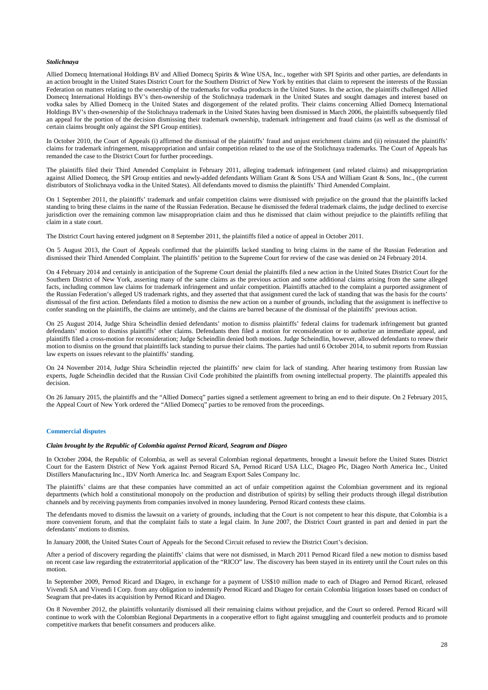#### *Stolichnaya*

Allied Domecq International Holdings BV and Allied Domecq Spirits & Wine USA, Inc., together with SPI Spirits and other parties, are defendants in an action brought in the United States District Court for the Southern District of New York by entities that claim to represent the interests of the Russian Federation on matters relating to the ownership of the trademarks for vodka products in the United States. In the action, the plaintiffs challenged Allied Domecq International Holdings BV's then-ownership of the Stolichnaya trademark in the United States and sought damages and interest based on vodka sales by Allied Domecq in the United States and disgorgement of the related profits. Their claims concerning Allied Domecq International Holdings BV's then-ownership of the Stolichnaya trademark in the United States having been dismissed in March 2006, the plaintiffs subsequently filed an appeal for the portion of the decision dismissing their trademark ownership, trademark infringement and fraud claims (as well as the dismissal of certain claims brought only against the SPI Group entities).

In October 2010, the Court of Appeals (i) affirmed the dismissal of the plaintiffs' fraud and unjust enrichment claims and (ii) reinstated the plaintiffs' claims for trademark infringement, misappropriation and unfair competition related to the use of the Stolichnaya trademarks. The Court of Appeals has remanded the case to the District Court for further proceedings.

The plaintiffs filed their Third Amended Complaint in February 2011, alleging trademark infringement (and related claims) and misappropriation against Allied Domecq, the SPI Group entities and newly-added defendants William Grant & Sons USA and William Grant & Sons, Inc., (the current distributors of Stolichnaya vodka in the United States). All defendants moved to dismiss the plaintiffs' Third Amended Complaint.

On 1 September 2011, the plaintiffs' trademark and unfair competition claims were dismissed with prejudice on the ground that the plaintiffs lacked standing to bring these claims in the name of the Russian Federation. Because he dismissed the federal trademark claims, the judge declined to exercise jurisdiction over the remaining common law misappropriation claim and thus he dismissed that claim without prejudice to the plaintiffs refiling that claim in a state court.

The District Court having entered judgment on 8 September 2011, the plaintiffs filed a notice of appeal in October 2011.

On 5 August 2013, the Court of Appeals confirmed that the plaintiffs lacked standing to bring claims in the name of the Russian Federation and dismissed their Third Amended Complaint. The plaintiffs' petition to the Supreme Court for review of the case was denied on 24 February 2014.

On 4 February 2014 and certainly in anticipation of the Supreme Court denial the plaintiffs filed a new action in the United States District Court for the Southern District of New York, asserting many of the same claims as the previous action and some additional claims arising from the same alleged facts, including common law claims for trademark infringement and unfair competition. Plaintiffs attached to the complaint a purported assignment of the Russian Federation's alleged US trademark rights, and they asserted that that assignment cured the lack of standing that was the basis for the courts' dismissal of the first action. Defendants filed a motion to dismiss the new action on a number of grounds, including that the assignment is ineffective to confer standing on the plaintiffs, the claims are untimely, and the claims are barred because of the dismissal of the plaintiffs' previous action.

On 25 August 2014, Judge Shira Scheindlin denied defendants' motion to dismiss plaintiffs' federal claims for trademark infringement but granted defendants' motion to dismiss plaintiffs' other claims. Defendants then filed a motion for reconsideration or to authorize an immediate appeal, and plaintiffs filed a cross-motion for reconsideration; Judge Scheindlin denied both motions. Judge Scheindlin, however, allowed defendants to renew their motion to dismiss on the ground that plaintiffs lack standing to pursue their claims. The parties had until 6 October 2014, to submit reports from Russian law experts on issues relevant to the plaintiffs' standing.

On 24 November 2014, Judge Shira Scheindlin rejected the plaintiffs' new claim for lack of standing. After hearing testimony from Russian law experts, Jugde Scheindlin decided that the Russian Civil Code prohibited the plaintiffs from owning intellectual property. The plaintiffs appealed this decision.

On 26 January 2015, the plaintiffs and the "Allied Domecq" parties signed a settlement agreement to bring an end to their dispute. On 2 February 2015, the Appeal Court of New York ordered the "Allied Domecq" parties to be removed from the proceedings.

#### **Commercial disputes**

## *Claim brought by the Republic of Colombia against Pernod Ricard, Seagram and Diageo*

In October 2004, the Republic of Colombia, as well as several Colombian regional departments, brought a lawsuit before the United States District Court for the Eastern District of New York against Pernod Ricard SA, Pernod Ricard USA LLC, Diageo Plc, Diageo North America Inc., United Distillers Manufacturing Inc., IDV North America Inc. and Seagram Export Sales Company Inc.

The plaintiffs' claims are that these companies have committed an act of unfair competition against the Colombian government and its regional departments (which hold a constitutional monopoly on the production and distribution of spirits) by selling their products through illegal distribution channels and by receiving payments from companies involved in money laundering. Pernod Ricard contests these claims.

The defendants moved to dismiss the lawsuit on a variety of grounds, including that the Court is not competent to hear this dispute, that Colombia is a more convenient forum, and that the complaint fails to state a legal claim. In June 2007, the District Court granted in part and denied in part the defendants' motions to dismiss.

In January 2008, the United States Court of Appeals for the Second Circuit refused to review the District Court's decision.

After a period of discovery regarding the plaintiffs' claims that were not dismissed, in March 2011 Pernod Ricard filed a new motion to dismiss based on recent case law regarding the extraterritorial application of the "RICO" law. The discovery has been stayed in its entirety until the Court rules on this motion.

In September 2009, Pernod Ricard and Diageo, in exchange for a payment of US\$10 million made to each of Diageo and Pernod Ricard, released Vivendi SA and Vivendi I Corp. from any obligation to indemnify Pernod Ricard and Diageo for certain Colombia litigation losses based on conduct of Seagram that pre-dates its acquisition by Pernod Ricard and Diageo.

On 8 November 2012, the plaintiffs voluntarily dismissed all their remaining claims without prejudice, and the Court so ordered. Pernod Ricard will continue to work with the Colombian Regional Departments in a cooperative effort to fight against smuggling and counterfeit products and to promote competitive markets that benefit consumers and producers alike.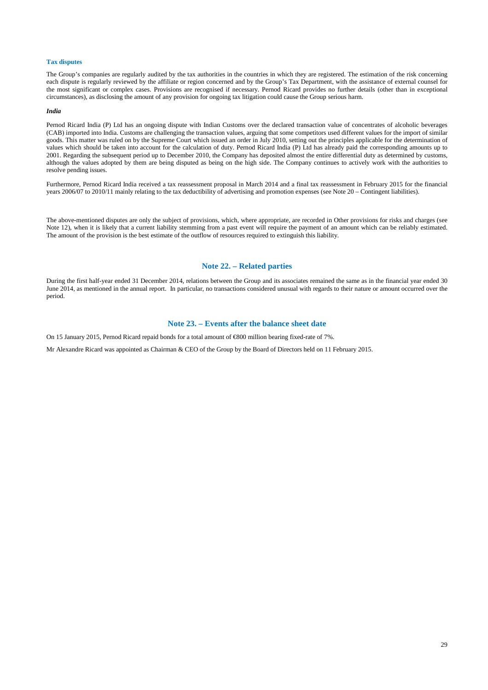#### **Tax disputes**

The Group's companies are regularly audited by the tax authorities in the countries in which they are registered. The estimation of the risk concerning each dispute is regularly reviewed by the affiliate or region concerned and by the Group's Tax Department, with the assistance of external counsel for the most significant or complex cases. Provisions are recognised if necessary. Pernod Ricard provides no further details (other than in exceptional circumstances), as disclosing the amount of any provision for ongoing tax litigation could cause the Group serious harm.

#### *India*

Pernod Ricard India (P) Ltd has an ongoing dispute with Indian Customs over the declared transaction value of concentrates of alcoholic beverages (CAB) imported into India. Customs are challenging the transaction values, arguing that some competitors used different values for the import of similar goods. This matter was ruled on by the Supreme Court which issued an order in July 2010, setting out the principles applicable for the determination of values which should be taken into account for the calculation of duty. Pernod Ricard India (P) Ltd has already paid the corresponding amounts up to 2001. Regarding the subsequent period up to December 2010, the Company has deposited almost the entire differential duty as determined by customs, although the values adopted by them are being disputed as being on the high side. The Company continues to actively work with the authorities to resolve pending issues.

Furthermore, Pernod Ricard India received a tax reassessment proposal in March 2014 and a final tax reassessment in February 2015 for the financial years 2006/07 to 2010/11 mainly relating to the tax deductibility of advertising and promotion expenses (see Note 20 – Contingent liabilities).

The above-mentioned disputes are only the subject of provisions, which, where appropriate, are recorded in Other provisions for risks and charges (see Note 12), when it is likely that a current liability stemming from a past event will require the payment of an amount which can be reliably estimated. The amount of the provision is the best estimate of the outflow of resources required to extinguish this liability.

## **Note 22. – Related parties**

During the first half-year ended 31 December 2014, relations between the Group and its associates remained the same as in the financial year ended 30 June 2014, as mentioned in the annual report. In particular, no transactions considered unusual with regards to their nature or amount occurred over the period.

## **Note 23. – Events after the balance sheet date**

On 15 January 2015, Pernod Ricard repaid bonds for a total amount of  $\epsilon$ 800 million bearing fixed-rate of 7%.

Mr Alexandre Ricard was appointed as Chairman & CEO of the Group by the Board of Directors held on 11 February 2015.